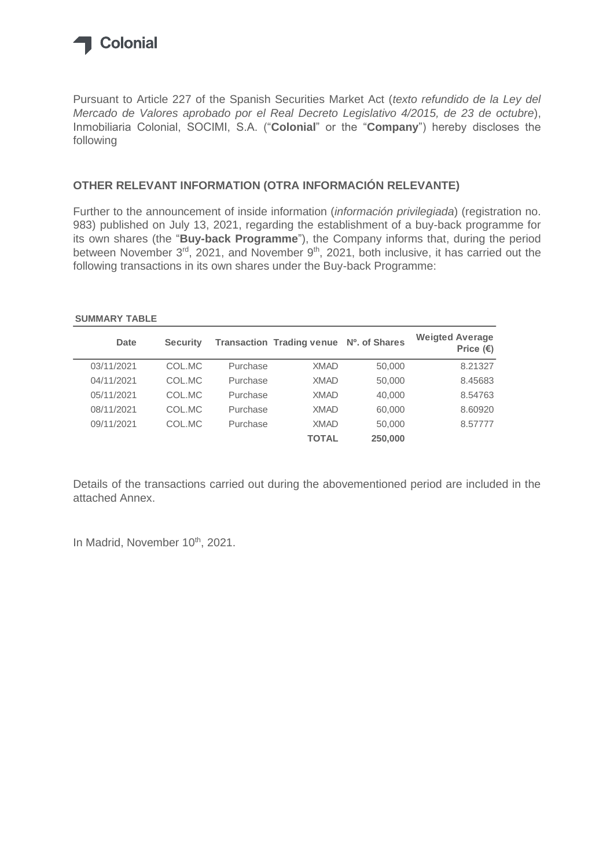

Pursuant to Article 227 of the Spanish Securities Market Act (*texto refundido de la Ley del Mercado de Valores aprobado por el Real Decreto Legislativo 4/2015, de 23 de octubre*), Inmobiliaria Colonial, SOCIMI, S.A. ("**Colonial**" or the "**Company**") hereby discloses the following

#### **OTHER RELEVANT INFORMATION (OTRA INFORMACIÓN RELEVANTE)**

Further to the announcement of inside information (*información privilegiada*) (registration no. 983) published on July 13, 2021, regarding the establishment of a buy-back programme for its own shares (the "**Buy-back Programme**"), the Company informs that, during the period between November 3<sup>rd</sup>, 2021, and November 9<sup>th</sup>, 2021, both inclusive, it has carried out the following transactions in its own shares under the Buy-back Programme:

#### **SUMMARY TABLE**

| <b>Date</b> | <b>Security</b> |          | <b>Transaction Trading venue</b> | Nº. of Shares | <b>Weigted Average</b><br>Price $(\epsilon)$ |
|-------------|-----------------|----------|----------------------------------|---------------|----------------------------------------------|
| 03/11/2021  | COL.MC          | Purchase | <b>XMAD</b>                      | 50,000        | 8.21327                                      |
| 04/11/2021  | COL.MC          | Purchase | <b>XMAD</b>                      | 50,000        | 8.45683                                      |
| 05/11/2021  | COL.MC          | Purchase | <b>XMAD</b>                      | 40,000        | 8.54763                                      |
| 08/11/2021  | COL.MC          | Purchase | <b>XMAD</b>                      | 60,000        | 8.60920                                      |
| 09/11/2021  | COL.MC          | Purchase | <b>XMAD</b>                      | 50,000        | 8.57777                                      |
|             |                 |          | <b>TOTAL</b>                     | 250,000       |                                              |

Details of the transactions carried out during the abovementioned period are included in the attached Annex.

In Madrid, November 10th, 2021.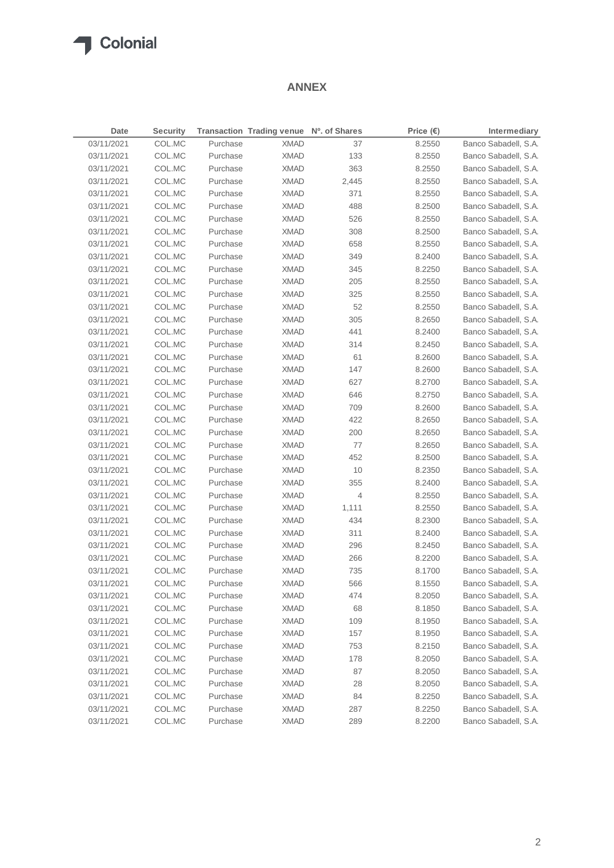## **T** Colonial

#### **ANNEX**

| Date                     | <b>Security</b> |          | Transaction Trading venue Nº. of Shares |       | Price $(\epsilon)$ | Intermediary         |
|--------------------------|-----------------|----------|-----------------------------------------|-------|--------------------|----------------------|
| 03/11/2021               | COL.MC          | Purchase | <b>XMAD</b>                             | 37    | 8.2550             | Banco Sabadell, S.A. |
| 03/11/2021               | COL.MC          | Purchase | <b>XMAD</b>                             | 133   | 8.2550             | Banco Sabadell, S.A. |
| 03/11/2021               | COL.MC          | Purchase | <b>XMAD</b>                             | 363   | 8.2550             | Banco Sabadell, S.A. |
| 03/11/2021               | COL.MC          | Purchase | <b>XMAD</b>                             | 2,445 | 8.2550             | Banco Sabadell, S.A. |
| 03/11/2021               | COL.MC          | Purchase | <b>XMAD</b>                             | 371   | 8.2550             | Banco Sabadell, S.A. |
| 03/11/2021               | COL.MC          | Purchase | <b>XMAD</b>                             | 488   | 8.2500             | Banco Sabadell, S.A. |
| 03/11/2021               | COL.MC          | Purchase | <b>XMAD</b>                             | 526   | 8.2550             | Banco Sabadell, S.A. |
| 03/11/2021               | COL.MC          | Purchase | <b>XMAD</b>                             | 308   | 8.2500             | Banco Sabadell, S.A. |
| 03/11/2021               | COL.MC          | Purchase | <b>XMAD</b>                             | 658   | 8.2550             | Banco Sabadell, S.A. |
| 03/11/2021               | COL.MC          | Purchase | <b>XMAD</b>                             | 349   | 8.2400             | Banco Sabadell, S.A. |
| 03/11/2021               | COL.MC          | Purchase | <b>XMAD</b>                             | 345   | 8.2250             | Banco Sabadell, S.A. |
| 03/11/2021               | COL.MC          | Purchase | <b>XMAD</b>                             | 205   | 8.2550             | Banco Sabadell, S.A. |
| 03/11/2021               | COL.MC          | Purchase | <b>XMAD</b>                             | 325   | 8.2550             | Banco Sabadell, S.A. |
| 03/11/2021               | COL.MC          | Purchase | <b>XMAD</b>                             | 52    | 8.2550             | Banco Sabadell, S.A. |
| 03/11/2021               | COL.MC          | Purchase | <b>XMAD</b>                             | 305   | 8.2650             | Banco Sabadell, S.A. |
|                          |                 |          |                                         | 441   |                    |                      |
| 03/11/2021<br>03/11/2021 | COL.MC          | Purchase | <b>XMAD</b>                             |       | 8.2400             | Banco Sabadell, S.A. |
|                          | COL.MC          | Purchase | <b>XMAD</b>                             | 314   | 8.2450             | Banco Sabadell, S.A. |
| 03/11/2021               | COL.MC          | Purchase | XMAD                                    | 61    | 8.2600             | Banco Sabadell, S.A. |
| 03/11/2021               | COL.MC          | Purchase | XMAD                                    | 147   | 8.2600             | Banco Sabadell, S.A. |
| 03/11/2021               | COL.MC          | Purchase | XMAD                                    | 627   | 8.2700             | Banco Sabadell, S.A. |
| 03/11/2021               | COL.MC          | Purchase | <b>XMAD</b>                             | 646   | 8.2750             | Banco Sabadell, S.A. |
| 03/11/2021               | COL.MC          | Purchase | XMAD                                    | 709   | 8.2600             | Banco Sabadell, S.A. |
| 03/11/2021               | COL.MC          | Purchase | <b>XMAD</b>                             | 422   | 8.2650             | Banco Sabadell, S.A. |
| 03/11/2021               | COL.MC          | Purchase | <b>XMAD</b>                             | 200   | 8.2650             | Banco Sabadell, S.A. |
| 03/11/2021               | COL.MC          | Purchase | <b>XMAD</b>                             | 77    | 8.2650             | Banco Sabadell, S.A. |
| 03/11/2021               | COL.MC          | Purchase | <b>XMAD</b>                             | 452   | 8.2500             | Banco Sabadell, S.A. |
| 03/11/2021               | COL.MC          | Purchase | XMAD                                    | 10    | 8.2350             | Banco Sabadell, S.A. |
| 03/11/2021               | COL.MC          | Purchase | <b>XMAD</b>                             | 355   | 8.2400             | Banco Sabadell, S.A. |
| 03/11/2021               | COL.MC          | Purchase | XMAD                                    | 4     | 8.2550             | Banco Sabadell, S.A. |
| 03/11/2021               | COL.MC          | Purchase | XMAD                                    | 1,111 | 8.2550             | Banco Sabadell, S.A. |
| 03/11/2021               | COL.MC          | Purchase | XMAD                                    | 434   | 8.2300             | Banco Sabadell, S.A. |
| 03/11/2021               | COL.MC          | Purchase | XMAD                                    | 311   | 8.2400             | Banco Sabadell, S.A. |
| 03/11/2021               | COL.MC          | Purchase | XMAD                                    | 296   | 8.2450             | Banco Sabadell, S.A. |
| 03/11/2021               | COL.MC          | Purchase | XMAD                                    | 266   | 8.2200             | Banco Sabadell, S.A. |
| 03/11/2021               | COL.MC          | Purchase | XMAD                                    | 735   | 8.1700             | Banco Sabadell, S.A. |
| 03/11/2021               | COL.MC          | Purchase | <b>XMAD</b>                             | 566   | 8.1550             | Banco Sabadell, S.A. |
| 03/11/2021               | COL.MC          | Purchase | <b>XMAD</b>                             | 474   | 8.2050             | Banco Sabadell, S.A. |
| 03/11/2021               | COL.MC          | Purchase | <b>XMAD</b>                             | 68    | 8.1850             | Banco Sabadell, S.A. |
| 03/11/2021               | COL.MC          | Purchase | <b>XMAD</b>                             | 109   | 8.1950             | Banco Sabadell, S.A. |
| 03/11/2021               | COL.MC          | Purchase | <b>XMAD</b>                             | 157   | 8.1950             | Banco Sabadell, S.A. |
| 03/11/2021               | COL.MC          | Purchase | <b>XMAD</b>                             | 753   | 8.2150             | Banco Sabadell, S.A. |
| 03/11/2021               | COL.MC          | Purchase | <b>XMAD</b>                             | 178   | 8.2050             | Banco Sabadell, S.A. |
| 03/11/2021               | COL.MC          | Purchase | <b>XMAD</b>                             | 87    | 8.2050             | Banco Sabadell, S.A. |
| 03/11/2021               | COL.MC          | Purchase | <b>XMAD</b>                             | 28    | 8.2050             | Banco Sabadell, S.A. |
| 03/11/2021               | COL.MC          | Purchase | <b>XMAD</b>                             | 84    | 8.2250             | Banco Sabadell, S.A. |
| 03/11/2021               | COL.MC          | Purchase | <b>XMAD</b>                             | 287   | 8.2250             | Banco Sabadell, S.A. |
| 03/11/2021               | COL.MC          | Purchase | <b>XMAD</b>                             | 289   | 8.2200             | Banco Sabadell, S.A. |
|                          |                 |          |                                         |       |                    |                      |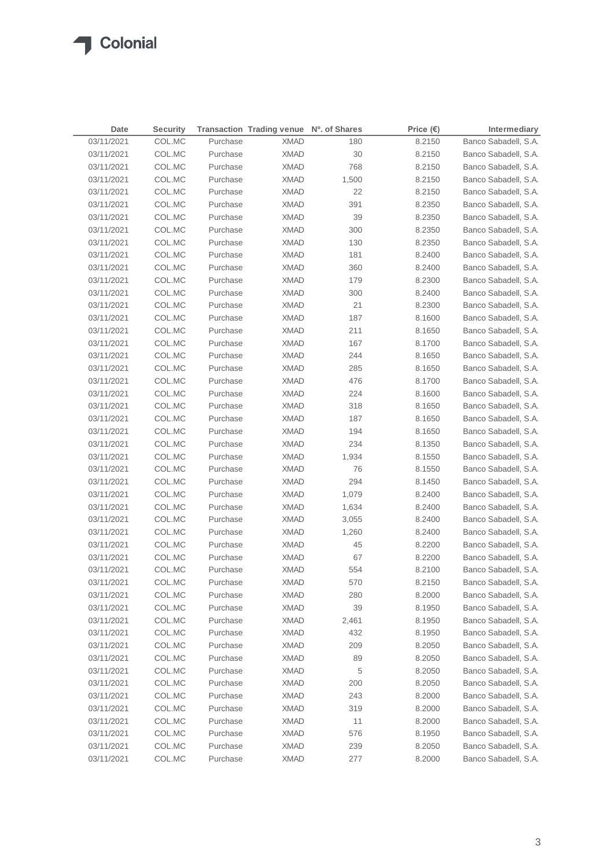| Date       | <b>Security</b> |          | Transaction Trading venue Nº. of Shares |        | Price $(\epsilon)$ | Intermediary         |
|------------|-----------------|----------|-----------------------------------------|--------|--------------------|----------------------|
| 03/11/2021 | COL.MC          | Purchase | <b>XMAD</b>                             | 180    | 8.2150             | Banco Sabadell, S.A. |
| 03/11/2021 | COL.MC          | Purchase | <b>XMAD</b>                             | $30\,$ | 8.2150             | Banco Sabadell, S.A. |
| 03/11/2021 | COL.MC          | Purchase | <b>XMAD</b>                             | 768    | 8.2150             | Banco Sabadell, S.A. |
| 03/11/2021 | COL.MC          | Purchase | <b>XMAD</b>                             | 1,500  | 8.2150             | Banco Sabadell, S.A. |
| 03/11/2021 | COL.MC          | Purchase | <b>XMAD</b>                             | 22     | 8.2150             | Banco Sabadell, S.A. |
| 03/11/2021 | COL.MC          | Purchase | <b>XMAD</b>                             | 391    | 8.2350             | Banco Sabadell, S.A. |
| 03/11/2021 | COL.MC          | Purchase | <b>XMAD</b>                             | 39     | 8.2350             | Banco Sabadell, S.A. |
| 03/11/2021 | COL.MC          | Purchase | <b>XMAD</b>                             | 300    | 8.2350             | Banco Sabadell, S.A. |
| 03/11/2021 | COL.MC          | Purchase | <b>XMAD</b>                             | 130    | 8.2350             | Banco Sabadell, S.A. |
| 03/11/2021 | COL.MC          | Purchase | <b>XMAD</b>                             | 181    | 8.2400             | Banco Sabadell, S.A. |
| 03/11/2021 | COL.MC          | Purchase | <b>XMAD</b>                             | 360    | 8.2400             | Banco Sabadell, S.A. |
| 03/11/2021 | COL.MC          | Purchase | <b>XMAD</b>                             | 179    | 8.2300             | Banco Sabadell, S.A. |
| 03/11/2021 | COL.MC          | Purchase | <b>XMAD</b>                             | 300    | 8.2400             | Banco Sabadell, S.A. |
| 03/11/2021 | COL.MC          | Purchase | <b>XMAD</b>                             | 21     | 8.2300             | Banco Sabadell, S.A. |
| 03/11/2021 | COL.MC          | Purchase | <b>XMAD</b>                             | 187    | 8.1600             | Banco Sabadell, S.A. |
| 03/11/2021 | COL.MC          | Purchase | <b>XMAD</b>                             | 211    | 8.1650             | Banco Sabadell, S.A. |
| 03/11/2021 | COL.MC          | Purchase | <b>XMAD</b>                             | 167    | 8.1700             | Banco Sabadell, S.A. |
| 03/11/2021 | COL.MC          | Purchase | <b>XMAD</b>                             | 244    | 8.1650             | Banco Sabadell, S.A. |
| 03/11/2021 | COL.MC          | Purchase | <b>XMAD</b>                             | 285    | 8.1650             | Banco Sabadell, S.A. |
| 03/11/2021 | COL.MC          | Purchase | <b>XMAD</b>                             | 476    | 8.1700             | Banco Sabadell, S.A. |
| 03/11/2021 | COL.MC          | Purchase | <b>XMAD</b>                             | 224    | 8.1600             | Banco Sabadell, S.A. |
| 03/11/2021 | COL.MC          | Purchase | <b>XMAD</b>                             | 318    | 8.1650             | Banco Sabadell, S.A. |
| 03/11/2021 | COL.MC          | Purchase | <b>XMAD</b>                             | 187    | 8.1650             | Banco Sabadell, S.A. |
| 03/11/2021 | COL.MC          | Purchase | <b>XMAD</b>                             | 194    | 8.1650             | Banco Sabadell, S.A. |
| 03/11/2021 | COL.MC          | Purchase | XMAD                                    | 234    | 8.1350             | Banco Sabadell, S.A. |
| 03/11/2021 | COL.MC          | Purchase | XMAD                                    | 1,934  | 8.1550             | Banco Sabadell, S.A. |
| 03/11/2021 | COL.MC          | Purchase | <b>XMAD</b>                             | 76     | 8.1550             | Banco Sabadell, S.A. |
| 03/11/2021 | COL.MC          | Purchase | XMAD                                    | 294    | 8.1450             | Banco Sabadell, S.A. |
| 03/11/2021 | COL.MC          | Purchase | <b>XMAD</b>                             | 1,079  | 8.2400             | Banco Sabadell, S.A. |
| 03/11/2021 | COL.MC          | Purchase | XMAD                                    | 1,634  | 8.2400             | Banco Sabadell, S.A. |
| 03/11/2021 | COL.MC          | Purchase | XMAD                                    | 3,055  | 8.2400             | Banco Sabadell, S.A. |
| 03/11/2021 | COL.MC          | Purchase | <b>XMAD</b>                             | 1,260  | 8.2400             | Banco Sabadell, S.A. |
| 03/11/2021 | COL.MC          | Purchase | <b>XMAD</b>                             | 45     | 8.2200             | Banco Sabadell, S.A. |
| 03/11/2021 | COL.MC          | Purchase | <b>XMAD</b>                             | 67     | 8.2200             | Banco Sabadell, S.A. |
| 03/11/2021 | COL.MC          | Purchase | <b>XMAD</b>                             | 554    | 8.2100             | Banco Sabadell, S.A. |
| 03/11/2021 | COL.MC          | Purchase | <b>XMAD</b>                             | 570    | 8.2150             | Banco Sabadell, S.A. |
| 03/11/2021 | COL.MC          | Purchase | <b>XMAD</b>                             | 280    | 8.2000             | Banco Sabadell, S.A. |
| 03/11/2021 | COL.MC          | Purchase | <b>XMAD</b>                             | 39     | 8.1950             | Banco Sabadell, S.A. |
| 03/11/2021 | COL.MC          | Purchase | <b>XMAD</b>                             | 2,461  | 8.1950             | Banco Sabadell, S.A. |
| 03/11/2021 | COL.MC          | Purchase | <b>XMAD</b>                             | 432    | 8.1950             | Banco Sabadell, S.A. |
| 03/11/2021 | COL.MC          | Purchase | <b>XMAD</b>                             | 209    | 8.2050             | Banco Sabadell, S.A. |
| 03/11/2021 | COL.MC          | Purchase | <b>XMAD</b>                             | 89     | 8.2050             | Banco Sabadell, S.A. |
| 03/11/2021 | COL.MC          | Purchase | <b>XMAD</b>                             | 5      | 8.2050             | Banco Sabadell, S.A. |
| 03/11/2021 | COL.MC          | Purchase | <b>XMAD</b>                             | 200    | 8.2050             | Banco Sabadell, S.A. |
| 03/11/2021 | COL.MC          | Purchase | <b>XMAD</b>                             | 243    | 8.2000             | Banco Sabadell, S.A. |
| 03/11/2021 | COL.MC          | Purchase | <b>XMAD</b>                             | 319    | 8.2000             | Banco Sabadell, S.A. |
| 03/11/2021 | COL.MC          | Purchase | <b>XMAD</b>                             | 11     | 8.2000             | Banco Sabadell, S.A. |
| 03/11/2021 | COL.MC          | Purchase | <b>XMAD</b>                             | 576    | 8.1950             | Banco Sabadell, S.A. |
| 03/11/2021 | COL.MC          | Purchase | <b>XMAD</b>                             | 239    | 8.2050             | Banco Sabadell, S.A. |
| 03/11/2021 | COL.MC          | Purchase | <b>XMAD</b>                             | 277    | 8.2000             | Banco Sabadell, S.A. |
|            |                 |          |                                         |        |                    |                      |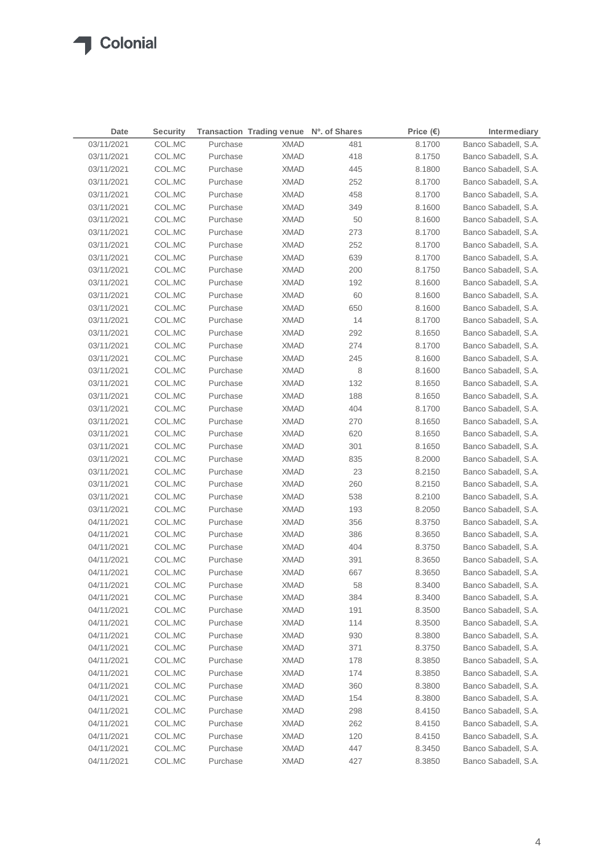| Date       | <b>Security</b> |          | Transaction Trading venue Nº. of Shares |     | Price $(\epsilon)$ | Intermediary         |
|------------|-----------------|----------|-----------------------------------------|-----|--------------------|----------------------|
| 03/11/2021 | COL.MC          | Purchase | <b>XMAD</b>                             | 481 | 8.1700             | Banco Sabadell, S.A. |
| 03/11/2021 | COL.MC          | Purchase | <b>XMAD</b>                             | 418 | 8.1750             | Banco Sabadell, S.A. |
| 03/11/2021 | COL.MC          | Purchase | <b>XMAD</b>                             | 445 | 8.1800             | Banco Sabadell, S.A. |
| 03/11/2021 | COL.MC          | Purchase | <b>XMAD</b>                             | 252 | 8.1700             | Banco Sabadell, S.A. |
| 03/11/2021 | COL.MC          | Purchase | <b>XMAD</b>                             | 458 | 8.1700             | Banco Sabadell, S.A. |
| 03/11/2021 | COL.MC          | Purchase | <b>XMAD</b>                             | 349 | 8.1600             | Banco Sabadell, S.A. |
| 03/11/2021 | COL.MC          | Purchase | <b>XMAD</b>                             | 50  | 8.1600             | Banco Sabadell, S.A. |
| 03/11/2021 | COL.MC          | Purchase | XMAD                                    | 273 | 8.1700             | Banco Sabadell, S.A. |
| 03/11/2021 | COL.MC          | Purchase | XMAD                                    | 252 | 8.1700             | Banco Sabadell, S.A. |
| 03/11/2021 | COL.MC          | Purchase | <b>XMAD</b>                             | 639 | 8.1700             | Banco Sabadell, S.A. |
| 03/11/2021 | COL.MC          | Purchase | XMAD                                    | 200 | 8.1750             | Banco Sabadell, S.A. |
| 03/11/2021 | COL.MC          | Purchase | XMAD                                    | 192 | 8.1600             | Banco Sabadell, S.A. |
| 03/11/2021 | COL.MC          | Purchase | XMAD                                    | 60  | 8.1600             | Banco Sabadell, S.A. |
| 03/11/2021 | COL.MC          | Purchase | <b>XMAD</b>                             | 650 | 8.1600             | Banco Sabadell, S.A. |
| 03/11/2021 | COL.MC          | Purchase | XMAD                                    | 14  | 8.1700             | Banco Sabadell, S.A. |
| 03/11/2021 | COL.MC          | Purchase | <b>XMAD</b>                             | 292 | 8.1650             | Banco Sabadell, S.A. |
| 03/11/2021 | COL.MC          | Purchase | <b>XMAD</b>                             | 274 | 8.1700             | Banco Sabadell, S.A. |
| 03/11/2021 | COL.MC          | Purchase | <b>XMAD</b>                             | 245 | 8.1600             | Banco Sabadell, S.A. |
| 03/11/2021 | COL.MC          | Purchase | <b>XMAD</b>                             | 8   | 8.1600             | Banco Sabadell, S.A. |
| 03/11/2021 | COL.MC          | Purchase | XMAD                                    | 132 | 8.1650             | Banco Sabadell, S.A. |
| 03/11/2021 | COL.MC          | Purchase | XMAD                                    | 188 | 8.1650             | Banco Sabadell, S.A. |
| 03/11/2021 | COL.MC          | Purchase | XMAD                                    | 404 | 8.1700             | Banco Sabadell, S.A. |
| 03/11/2021 | COL.MC          | Purchase | XMAD                                    | 270 | 8.1650             | Banco Sabadell, S.A. |
| 03/11/2021 | COL.MC          | Purchase | XMAD                                    | 620 | 8.1650             | Banco Sabadell, S.A. |
| 03/11/2021 | COL.MC          | Purchase | <b>XMAD</b>                             | 301 | 8.1650             | Banco Sabadell, S.A. |
| 03/11/2021 | COL.MC          | Purchase | XMAD                                    | 835 | 8.2000             | Banco Sabadell, S.A. |
| 03/11/2021 | COL.MC          | Purchase | XMAD                                    | 23  | 8.2150             | Banco Sabadell, S.A. |
| 03/11/2021 | COL.MC          | Purchase | XMAD                                    | 260 | 8.2150             | Banco Sabadell, S.A. |
| 03/11/2021 | COL.MC          | Purchase | <b>XMAD</b>                             | 538 | 8.2100             | Banco Sabadell, S.A. |
| 03/11/2021 | COL.MC          | Purchase | <b>XMAD</b>                             | 193 | 8.2050             | Banco Sabadell, S.A. |
| 04/11/2021 | COL.MC          | Purchase | <b>XMAD</b>                             | 356 | 8.3750             | Banco Sabadell, S.A. |
| 04/11/2021 | COL.MC          | Purchase | <b>XMAD</b>                             | 386 | 8.3650             | Banco Sabadell, S.A. |
| 04/11/2021 | COL.MC          | Purchase | <b>XMAD</b>                             | 404 | 8.3750             | Banco Sabadell, S.A. |
| 04/11/2021 | COL.MC          | Purchase | <b>XMAD</b>                             | 391 | 8.3650             | Banco Sabadell, S.A. |
| 04/11/2021 | COL.MC          | Purchase | <b>XMAD</b>                             | 667 | 8.3650             | Banco Sabadell, S.A. |
| 04/11/2021 | COL.MC          | Purchase | <b>XMAD</b>                             | 58  | 8.3400             | Banco Sabadell, S.A. |
| 04/11/2021 | COL.MC          | Purchase | <b>XMAD</b>                             | 384 | 8.3400             | Banco Sabadell, S.A. |
| 04/11/2021 | COL.MC          | Purchase | <b>XMAD</b>                             | 191 | 8.3500             | Banco Sabadell, S.A. |
| 04/11/2021 | COL.MC          | Purchase | <b>XMAD</b>                             | 114 | 8.3500             | Banco Sabadell, S.A. |
| 04/11/2021 | COL.MC          | Purchase | <b>XMAD</b>                             | 930 | 8.3800             | Banco Sabadell, S.A. |
| 04/11/2021 | COL.MC          | Purchase | <b>XMAD</b>                             | 371 | 8.3750             | Banco Sabadell, S.A. |
| 04/11/2021 | COL.MC          | Purchase | <b>XMAD</b>                             | 178 | 8.3850             | Banco Sabadell, S.A. |
| 04/11/2021 | COL.MC          | Purchase | <b>XMAD</b>                             | 174 | 8.3850             | Banco Sabadell, S.A. |
| 04/11/2021 | COL.MC          | Purchase | <b>XMAD</b>                             | 360 | 8.3800             | Banco Sabadell, S.A. |
| 04/11/2021 | COL.MC          | Purchase | <b>XMAD</b>                             | 154 | 8.3800             | Banco Sabadell, S.A. |
| 04/11/2021 | COL.MC          | Purchase | <b>XMAD</b>                             | 298 | 8.4150             | Banco Sabadell, S.A. |
| 04/11/2021 | COL.MC          | Purchase | <b>XMAD</b>                             | 262 | 8.4150             | Banco Sabadell, S.A. |
| 04/11/2021 | COL.MC          | Purchase | XMAD                                    | 120 | 8.4150             | Banco Sabadell, S.A. |
| 04/11/2021 | COL.MC          | Purchase | <b>XMAD</b>                             | 447 | 8.3450             | Banco Sabadell, S.A. |
| 04/11/2021 | COL.MC          | Purchase | <b>XMAD</b>                             | 427 | 8.3850             | Banco Sabadell, S.A. |
|            |                 |          |                                         |     |                    |                      |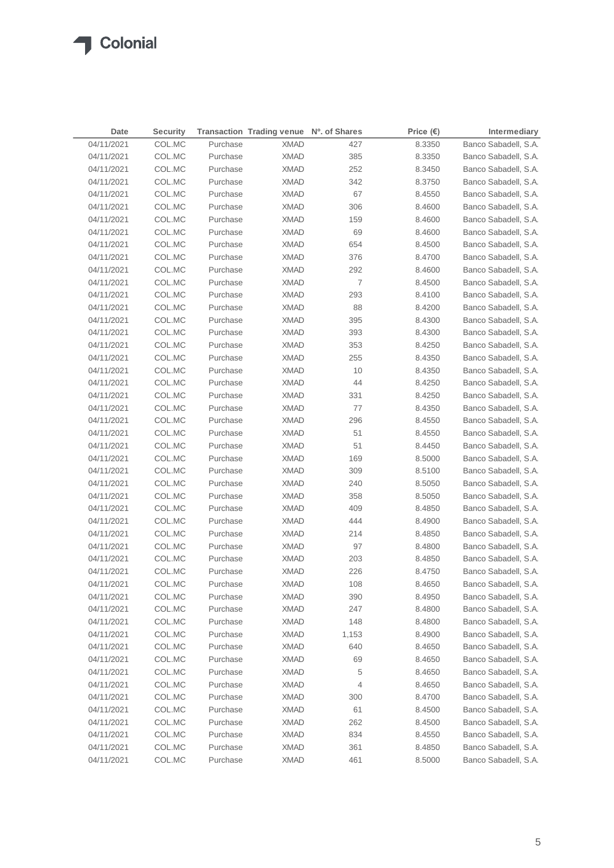| <b>Date</b> | <b>Security</b>  |          | Transaction Trading venue Nº. of Shares |                | Price $(\epsilon)$ | Intermediary         |
|-------------|------------------|----------|-----------------------------------------|----------------|--------------------|----------------------|
| 04/11/2021  | COL.MC           | Purchase | <b>XMAD</b>                             | 427            | 8.3350             | Banco Sabadell, S.A. |
| 04/11/2021  | COL.MC           | Purchase | <b>XMAD</b>                             | 385            | 8.3350             | Banco Sabadell, S.A. |
| 04/11/2021  | COL.MC           | Purchase | <b>XMAD</b>                             | 252            | 8.3450             | Banco Sabadell, S.A. |
| 04/11/2021  | COL.MC           | Purchase | <b>XMAD</b>                             | 342            | 8.3750             | Banco Sabadell, S.A. |
| 04/11/2021  | COL.MC           | Purchase | <b>XMAD</b>                             | 67             | 8.4550             | Banco Sabadell, S.A. |
| 04/11/2021  | COL.MC           | Purchase | <b>XMAD</b>                             | 306            | 8.4600             | Banco Sabadell, S.A. |
| 04/11/2021  | COL.MC           | Purchase | <b>XMAD</b>                             | 159            | 8.4600             | Banco Sabadell, S.A. |
| 04/11/2021  | COL.MC           | Purchase | <b>XMAD</b>                             | 69             | 8.4600             | Banco Sabadell, S.A. |
| 04/11/2021  | COL.MC           | Purchase | <b>XMAD</b>                             | 654            | 8.4500             | Banco Sabadell, S.A. |
| 04/11/2021  | COL.MC           | Purchase | <b>XMAD</b>                             | 376            | 8.4700             | Banco Sabadell, S.A. |
| 04/11/2021  | COL.MC           | Purchase | <b>XMAD</b>                             | 292            | 8.4600             | Banco Sabadell, S.A. |
| 04/11/2021  | COL.MC           | Purchase | <b>XMAD</b>                             | $\overline{7}$ | 8.4500             | Banco Sabadell, S.A. |
| 04/11/2021  | COL.MC           | Purchase | <b>XMAD</b>                             | 293            | 8.4100             | Banco Sabadell, S.A. |
| 04/11/2021  | COL.MC           | Purchase | <b>XMAD</b>                             | 88             | 8.4200             | Banco Sabadell, S.A. |
| 04/11/2021  | COL.MC           | Purchase | <b>XMAD</b>                             | 395            | 8.4300             | Banco Sabadell, S.A. |
| 04/11/2021  | COL.MC           | Purchase | <b>XMAD</b>                             | 393            | 8.4300             | Banco Sabadell, S.A. |
| 04/11/2021  | COL.MC           | Purchase | <b>XMAD</b>                             | 353            | 8.4250             | Banco Sabadell, S.A. |
| 04/11/2021  | COL.MC           | Purchase | <b>XMAD</b>                             | 255            | 8.4350             | Banco Sabadell, S.A. |
| 04/11/2021  | COL.MC           | Purchase | XMAD                                    | 10             | 8.4350             | Banco Sabadell, S.A. |
| 04/11/2021  | COL.MC           | Purchase | <b>XMAD</b>                             | 44             | 8.4250             | Banco Sabadell, S.A. |
| 04/11/2021  | COL.MC           | Purchase | XMAD                                    | 331            | 8.4250             | Banco Sabadell, S.A. |
| 04/11/2021  | COL.MC           | Purchase | <b>XMAD</b>                             | 77             | 8.4350             | Banco Sabadell, S.A. |
| 04/11/2021  | COL.MC           | Purchase | XMAD                                    | 296            | 8.4550             | Banco Sabadell, S.A. |
| 04/11/2021  | COL.MC           | Purchase | XMAD                                    | 51             | 8.4550             | Banco Sabadell, S.A. |
| 04/11/2021  | COL.MC           | Purchase | XMAD                                    | 51             | 8.4450             | Banco Sabadell, S.A. |
| 04/11/2021  | COL.MC           | Purchase | XMAD                                    | 169            | 8.5000             | Banco Sabadell, S.A. |
| 04/11/2021  | COL.MC           | Purchase | XMAD                                    | 309            | 8.5100             | Banco Sabadell, S.A. |
| 04/11/2021  | COL.MC           | Purchase |                                         | 240            |                    | Banco Sabadell, S.A. |
| 04/11/2021  | COL.MC           | Purchase | XMAD<br><b>XMAD</b>                     | 358            | 8.5050             | Banco Sabadell, S.A. |
|             |                  |          |                                         |                | 8.5050             |                      |
| 04/11/2021  | COL.MC           | Purchase | <b>XMAD</b>                             | 409            | 8.4850             | Banco Sabadell, S.A. |
| 04/11/2021  | COL.MC<br>COL.MC | Purchase | <b>XMAD</b>                             | 444            | 8.4900             | Banco Sabadell, S.A. |
| 04/11/2021  |                  | Purchase | <b>XMAD</b>                             | 214<br>97      | 8.4850             | Banco Sabadell, S.A. |
| 04/11/2021  | COL.MC           | Purchase | <b>XMAD</b>                             |                | 8.4800             | Banco Sabadell, S.A. |
| 04/11/2021  | COL.MC<br>COL.MC | Purchase | <b>XMAD</b>                             | 203            | 8.4850             | Banco Sabadell, S.A. |
| 04/11/2021  |                  | Purchase | <b>XMAD</b>                             | 226            | 8.4750             | Banco Sabadell, S.A. |
| 04/11/2021  | COL.MC           | Purchase | <b>XMAD</b>                             | 108            | 8.4650             | Banco Sabadell, S.A. |
| 04/11/2021  | COL.MC           | Purchase | <b>XMAD</b>                             | 390            | 8.4950             | Banco Sabadell, S.A. |
| 04/11/2021  | COL.MC           | Purchase | <b>XMAD</b>                             | 247            | 8.4800             | Banco Sabadell, S.A. |
| 04/11/2021  | COL.MC           | Purchase | <b>XMAD</b>                             | 148            | 8.4800             | Banco Sabadell, S.A. |
| 04/11/2021  | COL.MC           | Purchase | <b>XMAD</b>                             | 1,153          | 8.4900             | Banco Sabadell, S.A. |
| 04/11/2021  | COL.MC           | Purchase | <b>XMAD</b>                             | 640            | 8.4650             | Banco Sabadell, S.A. |
| 04/11/2021  | COL.MC           | Purchase | <b>XMAD</b>                             | 69             | 8.4650             | Banco Sabadell, S.A. |
| 04/11/2021  | COL.MC           | Purchase | <b>XMAD</b>                             | 5              | 8.4650             | Banco Sabadell, S.A. |
| 04/11/2021  | COL.MC           | Purchase | <b>XMAD</b>                             | 4              | 8.4650             | Banco Sabadell, S.A. |
| 04/11/2021  | COL.MC           | Purchase | <b>XMAD</b>                             | 300            | 8.4700             | Banco Sabadell, S.A. |
| 04/11/2021  | COL.MC           | Purchase | <b>XMAD</b>                             | 61             | 8.4500             | Banco Sabadell, S.A. |
| 04/11/2021  | COL.MC           | Purchase | <b>XMAD</b>                             | 262            | 8.4500             | Banco Sabadell, S.A. |
| 04/11/2021  | COL.MC           | Purchase | <b>XMAD</b>                             | 834            | 8.4550             | Banco Sabadell, S.A. |
| 04/11/2021  | COL.MC           | Purchase | <b>XMAD</b>                             | 361            | 8.4850             | Banco Sabadell, S.A. |
| 04/11/2021  | COL.MC           | Purchase | <b>XMAD</b>                             | 461            | 8.5000             | Banco Sabadell, S.A. |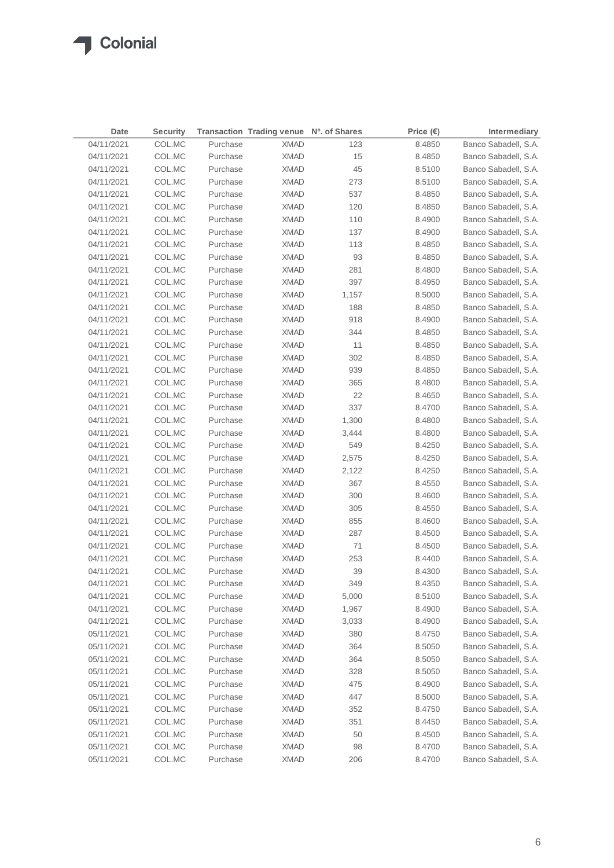| Date       | <b>Security</b> |          | Transaction Trading venue Nº. of Shares |       | Price $(\epsilon)$ | Intermediary         |
|------------|-----------------|----------|-----------------------------------------|-------|--------------------|----------------------|
| 04/11/2021 | COL.MC          | Purchase | <b>XMAD</b>                             | 123   | 8.4850             | Banco Sabadell, S.A. |
| 04/11/2021 | COL.MC          | Purchase | <b>XMAD</b>                             | 15    | 8.4850             | Banco Sabadell, S.A. |
| 04/11/2021 | COL.MC          | Purchase | <b>XMAD</b>                             | 45    | 8.5100             | Banco Sabadell, S.A. |
| 04/11/2021 | COL.MC          | Purchase | <b>XMAD</b>                             | 273   | 8.5100             | Banco Sabadell, S.A. |
| 04/11/2021 | COL.MC          | Purchase | <b>XMAD</b>                             | 537   | 8.4850             | Banco Sabadell, S.A. |
| 04/11/2021 | COL.MC          | Purchase | <b>XMAD</b>                             | 120   | 8.4850             | Banco Sabadell, S.A. |
| 04/11/2021 | COL.MC          | Purchase | <b>XMAD</b>                             | 110   | 8.4900             | Banco Sabadell, S.A. |
| 04/11/2021 | COL.MC          | Purchase | <b>XMAD</b>                             | 137   | 8.4900             | Banco Sabadell, S.A. |
| 04/11/2021 | COL.MC          | Purchase | <b>XMAD</b>                             | 113   | 8.4850             | Banco Sabadell, S.A. |
| 04/11/2021 | COL.MC          | Purchase | <b>XMAD</b>                             | 93    | 8.4850             | Banco Sabadell, S.A. |
| 04/11/2021 | COL.MC          | Purchase | <b>XMAD</b>                             | 281   | 8.4800             | Banco Sabadell, S.A. |
| 04/11/2021 | COL.MC          | Purchase | <b>XMAD</b>                             | 397   | 8.4950             | Banco Sabadell, S.A. |
| 04/11/2021 | COL.MC          | Purchase | <b>XMAD</b>                             | 1,157 | 8.5000             | Banco Sabadell, S.A. |
| 04/11/2021 | COL.MC          | Purchase | <b>XMAD</b>                             | 188   | 8.4850             | Banco Sabadell, S.A. |
| 04/11/2021 | COL.MC          | Purchase | <b>XMAD</b>                             | 918   | 8.4900             | Banco Sabadell, S.A. |
| 04/11/2021 | COL.MC          | Purchase | <b>XMAD</b>                             | 344   | 8.4850             | Banco Sabadell, S.A. |
| 04/11/2021 | COL.MC          | Purchase | <b>XMAD</b>                             | 11    | 8.4850             | Banco Sabadell, S.A. |
| 04/11/2021 | COL.MC          | Purchase | <b>XMAD</b>                             | 302   | 8.4850             | Banco Sabadell, S.A. |
| 04/11/2021 | COL.MC          | Purchase | <b>XMAD</b>                             | 939   | 8.4850             | Banco Sabadell, S.A. |
| 04/11/2021 | COL.MC          | Purchase | <b>XMAD</b>                             | 365   | 8.4800             | Banco Sabadell, S.A. |
| 04/11/2021 | COL.MC          | Purchase | XMAD                                    | 22    | 8.4650             | Banco Sabadell, S.A. |
| 04/11/2021 | COL.MC          | Purchase | <b>XMAD</b>                             | 337   | 8.4700             | Banco Sabadell, S.A. |
| 04/11/2021 | COL.MC          | Purchase | XMAD                                    | 1,300 | 8.4800             | Banco Sabadell, S.A. |
| 04/11/2021 | COL.MC          | Purchase | XMAD                                    | 3,444 | 8.4800             | Banco Sabadell, S.A. |
| 04/11/2021 | COL.MC          | Purchase | XMAD                                    | 549   | 8.4250             | Banco Sabadell, S.A. |
| 04/11/2021 | COL.MC          | Purchase | XMAD                                    | 2,575 | 8.4250             | Banco Sabadell, S.A. |
| 04/11/2021 | COL.MC          | Purchase | XMAD                                    | 2,122 | 8.4250             | Banco Sabadell, S.A. |
| 04/11/2021 | COL.MC          | Purchase | XMAD                                    | 367   | 8.4550             | Banco Sabadell, S.A. |
| 04/11/2021 | COL.MC          | Purchase | XMAD                                    | 300   | 8.4600             | Banco Sabadell, S.A. |
| 04/11/2021 | COL.MC          | Purchase | XMAD                                    | 305   | 8.4550             | Banco Sabadell, S.A. |
| 04/11/2021 | COL.MC          | Purchase | XMAD                                    | 855   | 8.4600             | Banco Sabadell, S.A. |
| 04/11/2021 | COL.MC          | Purchase | <b>XMAD</b>                             | 287   | 8.4500             | Banco Sabadell, S.A. |
| 04/11/2021 | COL.MC          | Purchase | XMAD                                    | 71    | 8.4500             | Banco Sabadell, S.A. |
| 04/11/2021 | COL.MC          | Purchase | <b>XMAD</b>                             | 253   | 8.4400             | Banco Sabadell, S.A. |
| 04/11/2021 | COL.MC          | Purchase | <b>XMAD</b>                             | 39    | 8.4300             | Banco Sabadell, S.A. |
| 04/11/2021 | COL.MC          | Purchase | <b>XMAD</b>                             | 349   | 8.4350             | Banco Sabadell, S.A. |
| 04/11/2021 | COL.MC          | Purchase | <b>XMAD</b>                             | 5,000 | 8.5100             | Banco Sabadell, S.A. |
| 04/11/2021 | COL.MC          | Purchase | <b>XMAD</b>                             | 1,967 | 8.4900             | Banco Sabadell, S.A. |
| 04/11/2021 | COL.MC          | Purchase | <b>XMAD</b>                             | 3,033 | 8.4900             | Banco Sabadell, S.A. |
| 05/11/2021 | COL.MC          | Purchase | <b>XMAD</b>                             | 380   | 8.4750             | Banco Sabadell, S.A. |
| 05/11/2021 | COL.MC          | Purchase | <b>XMAD</b>                             | 364   | 8.5050             | Banco Sabadell, S.A. |
| 05/11/2021 | COL.MC          | Purchase | <b>XMAD</b>                             | 364   | 8.5050             | Banco Sabadell, S.A. |
| 05/11/2021 | COL.MC          | Purchase | <b>XMAD</b>                             | 328   | 8.5050             | Banco Sabadell, S.A. |
| 05/11/2021 | COL.MC          | Purchase | <b>XMAD</b>                             | 475   | 8.4900             | Banco Sabadell, S.A. |
| 05/11/2021 | COL.MC          | Purchase | <b>XMAD</b>                             | 447   | 8.5000             | Banco Sabadell, S.A. |
| 05/11/2021 | COL.MC          | Purchase | <b>XMAD</b>                             | 352   | 8.4750             | Banco Sabadell, S.A. |
| 05/11/2021 | COL.MC          | Purchase | <b>XMAD</b>                             | 351   | 8.4450             | Banco Sabadell, S.A. |
| 05/11/2021 | COL.MC          | Purchase | <b>XMAD</b>                             | 50    | 8.4500             | Banco Sabadell, S.A. |
| 05/11/2021 | COL.MC          | Purchase | <b>XMAD</b>                             | 98    | 8.4700             | Banco Sabadell, S.A. |
| 05/11/2021 | COL.MC          | Purchase | <b>XMAD</b>                             | 206   | 8.4700             | Banco Sabadell, S.A. |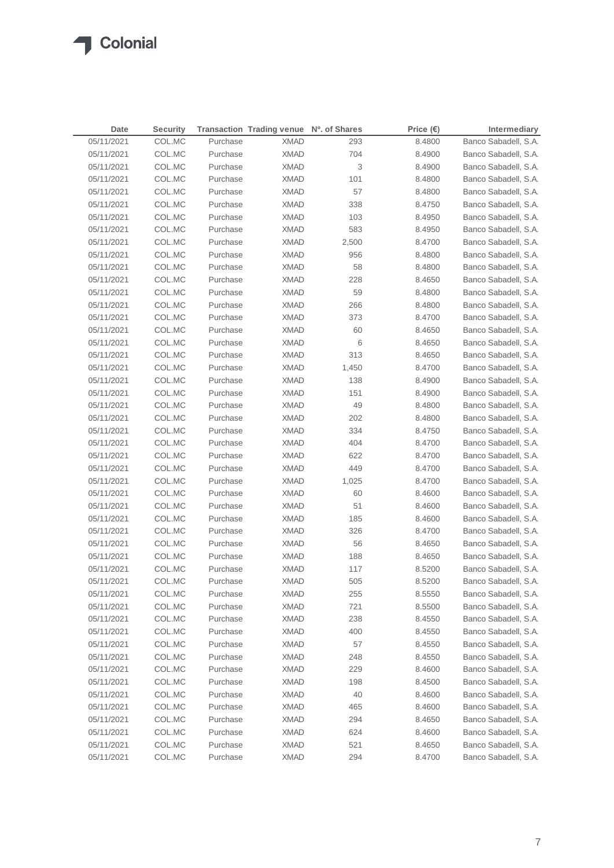| Date       | <b>Security</b> |          | Transaction Trading venue Nº. of Shares |       | Price $(\epsilon)$ | Intermediary         |
|------------|-----------------|----------|-----------------------------------------|-------|--------------------|----------------------|
| 05/11/2021 | COL.MC          | Purchase | <b>XMAD</b>                             | 293   | 8.4800             | Banco Sabadell, S.A. |
| 05/11/2021 | COL.MC          | Purchase | <b>XMAD</b>                             | 704   | 8.4900             | Banco Sabadell, S.A. |
| 05/11/2021 | COL.MC          | Purchase | <b>XMAD</b>                             | 3     | 8.4900             | Banco Sabadell, S.A. |
| 05/11/2021 | COL.MC          | Purchase | <b>XMAD</b>                             | 101   | 8.4800             | Banco Sabadell, S.A. |
| 05/11/2021 | COL.MC          | Purchase | <b>XMAD</b>                             | 57    | 8.4800             | Banco Sabadell, S.A. |
| 05/11/2021 | COL.MC          | Purchase | <b>XMAD</b>                             | 338   | 8.4750             | Banco Sabadell, S.A. |
| 05/11/2021 | COL.MC          | Purchase | <b>XMAD</b>                             | 103   | 8.4950             | Banco Sabadell, S.A. |
| 05/11/2021 | COL.MC          | Purchase | <b>XMAD</b>                             | 583   | 8.4950             | Banco Sabadell, S.A. |
| 05/11/2021 | COL.MC          | Purchase | <b>XMAD</b>                             | 2,500 | 8.4700             | Banco Sabadell, S.A. |
| 05/11/2021 | COL.MC          | Purchase | <b>XMAD</b>                             | 956   | 8.4800             | Banco Sabadell, S.A. |
| 05/11/2021 | COL.MC          | Purchase | <b>XMAD</b>                             | 58    | 8.4800             | Banco Sabadell, S.A. |
| 05/11/2021 | COL.MC          | Purchase | <b>XMAD</b>                             | 228   | 8.4650             | Banco Sabadell, S.A. |
| 05/11/2021 | COL.MC          | Purchase | <b>XMAD</b>                             | 59    | 8.4800             | Banco Sabadell, S.A. |
| 05/11/2021 | COL.MC          | Purchase | <b>XMAD</b>                             | 266   | 8.4800             | Banco Sabadell, S.A. |
| 05/11/2021 | COL.MC          | Purchase | <b>XMAD</b>                             | 373   | 8.4700             | Banco Sabadell, S.A. |
| 05/11/2021 | COL.MC          | Purchase | <b>XMAD</b>                             | 60    | 8.4650             | Banco Sabadell, S.A. |
| 05/11/2021 | COL.MC          | Purchase | <b>XMAD</b>                             | 6     | 8.4650             | Banco Sabadell, S.A. |
| 05/11/2021 | COL.MC          | Purchase | <b>XMAD</b>                             | 313   | 8.4650             | Banco Sabadell, S.A. |
| 05/11/2021 | COL.MC          | Purchase | <b>XMAD</b>                             | 1,450 | 8.4700             | Banco Sabadell, S.A. |
| 05/11/2021 | COL.MC          | Purchase | <b>XMAD</b>                             | 138   | 8.4900             | Banco Sabadell, S.A. |
| 05/11/2021 | COL.MC          | Purchase | <b>XMAD</b>                             | 151   | 8.4900             | Banco Sabadell, S.A. |
| 05/11/2021 | COL.MC          | Purchase | <b>XMAD</b>                             | 49    | 8.4800             | Banco Sabadell, S.A. |
| 05/11/2021 | COL.MC          | Purchase | <b>XMAD</b>                             | 202   | 8.4800             | Banco Sabadell, S.A. |
| 05/11/2021 | COL.MC          | Purchase | <b>XMAD</b>                             | 334   | 8.4750             | Banco Sabadell, S.A. |
| 05/11/2021 | COL.MC          | Purchase | <b>XMAD</b>                             | 404   | 8.4700             | Banco Sabadell, S.A. |
| 05/11/2021 | COL.MC          | Purchase | <b>XMAD</b>                             | 622   | 8.4700             | Banco Sabadell, S.A. |
| 05/11/2021 | COL.MC          | Purchase | <b>XMAD</b>                             | 449   | 8.4700             | Banco Sabadell, S.A. |
| 05/11/2021 | COL.MC          | Purchase | XMAD                                    | 1,025 | 8.4700             | Banco Sabadell, S.A. |
| 05/11/2021 | COL.MC          | Purchase | <b>XMAD</b>                             | 60    | 8.4600             | Banco Sabadell, S.A. |
| 05/11/2021 | COL.MC          | Purchase | XMAD                                    | 51    | 8.4600             | Banco Sabadell, S.A. |
| 05/11/2021 | COL.MC          | Purchase | <b>XMAD</b>                             | 185   | 8.4600             | Banco Sabadell, S.A. |
| 05/11/2021 | COL.MC          | Purchase | XMAD                                    | 326   | 8.4700             | Banco Sabadell, S.A. |
| 05/11/2021 | COL.MC          | Purchase | XMAD                                    | 56    | 8.4650             | Banco Sabadell, S.A. |
| 05/11/2021 | COL.MC          | Purchase | XMAD                                    | 188   | 8.4650             | Banco Sabadell, S.A. |
| 05/11/2021 | COL.MC          | Purchase | <b>XMAD</b>                             | 117   | 8.5200             | Banco Sabadell, S.A. |
| 05/11/2021 | COL.MC          | Purchase | <b>XMAD</b>                             | 505   | 8.5200             | Banco Sabadell, S.A. |
| 05/11/2021 | COL.MC          | Purchase | <b>XMAD</b>                             | 255   | 8.5550             | Banco Sabadell, S.A. |
| 05/11/2021 | COL.MC          | Purchase | <b>XMAD</b>                             | 721   | 8.5500             | Banco Sabadell, S.A. |
| 05/11/2021 | COL.MC          | Purchase | <b>XMAD</b>                             | 238   | 8.4550             | Banco Sabadell, S.A. |
| 05/11/2021 | COL.MC          | Purchase | <b>XMAD</b>                             | 400   | 8.4550             | Banco Sabadell, S.A. |
| 05/11/2021 | COL.MC          | Purchase | <b>XMAD</b>                             | 57    | 8.4550             | Banco Sabadell, S.A. |
| 05/11/2021 | COL.MC          | Purchase | <b>XMAD</b>                             | 248   | 8.4550             | Banco Sabadell, S.A. |
| 05/11/2021 | COL.MC          | Purchase | <b>XMAD</b>                             | 229   | 8.4600             | Banco Sabadell, S.A. |
| 05/11/2021 | COL.MC          | Purchase | <b>XMAD</b>                             | 198   | 8.4500             | Banco Sabadell, S.A. |
| 05/11/2021 | COL.MC          | Purchase | <b>XMAD</b>                             | 40    | 8.4600             | Banco Sabadell, S.A. |
| 05/11/2021 | COL.MC          | Purchase | <b>XMAD</b>                             | 465   | 8.4600             | Banco Sabadell, S.A. |
| 05/11/2021 | COL.MC          | Purchase | <b>XMAD</b>                             | 294   | 8.4650             | Banco Sabadell, S.A. |
| 05/11/2021 | COL.MC          | Purchase | <b>XMAD</b>                             | 624   | 8.4600             | Banco Sabadell, S.A. |
| 05/11/2021 | COL.MC          | Purchase | <b>XMAD</b>                             | 521   | 8.4650             | Banco Sabadell, S.A. |
| 05/11/2021 | COL.MC          | Purchase | <b>XMAD</b>                             | 294   | 8.4700             | Banco Sabadell, S.A. |
|            |                 |          |                                         |       |                    |                      |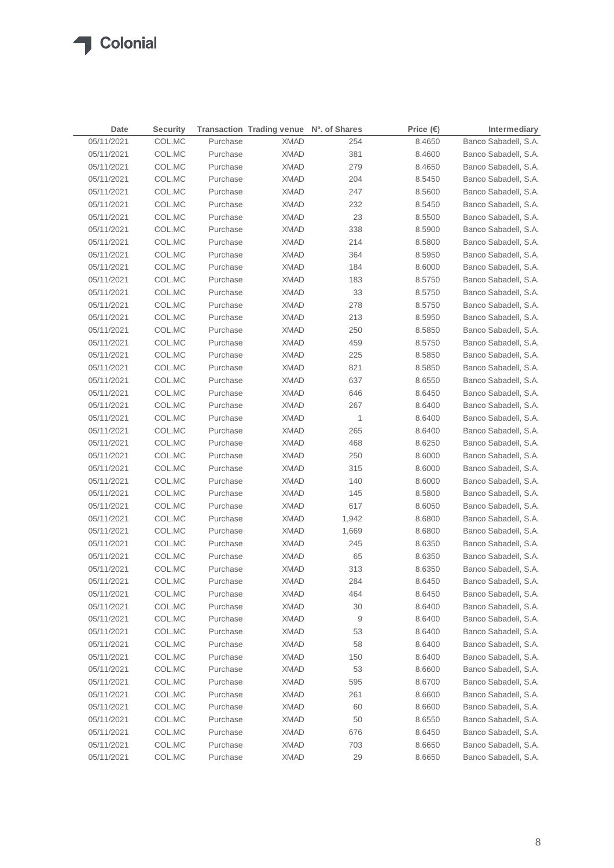| Date       | <b>Security</b> |          | Transaction Trading venue Nº. of Shares |       | Price $(\epsilon)$ | Intermediary         |
|------------|-----------------|----------|-----------------------------------------|-------|--------------------|----------------------|
| 05/11/2021 | COL.MC          | Purchase | <b>XMAD</b>                             | 254   | 8.4650             | Banco Sabadell, S.A. |
| 05/11/2021 | COL.MC          | Purchase | <b>XMAD</b>                             | 381   | 8.4600             | Banco Sabadell, S.A. |
| 05/11/2021 | COL.MC          | Purchase | <b>XMAD</b>                             | 279   | 8.4650             | Banco Sabadell, S.A. |
| 05/11/2021 | COL.MC          | Purchase | <b>XMAD</b>                             | 204   | 8.5450             | Banco Sabadell, S.A. |
| 05/11/2021 | COL.MC          | Purchase | <b>XMAD</b>                             | 247   | 8.5600             | Banco Sabadell, S.A. |
| 05/11/2021 | COL.MC          | Purchase | <b>XMAD</b>                             | 232   | 8.5450             | Banco Sabadell, S.A. |
| 05/11/2021 | COL.MC          | Purchase | <b>XMAD</b>                             | 23    | 8.5500             | Banco Sabadell, S.A. |
| 05/11/2021 | COL.MC          | Purchase | <b>XMAD</b>                             | 338   | 8.5900             | Banco Sabadell, S.A. |
| 05/11/2021 | COL.MC          | Purchase | <b>XMAD</b>                             | 214   | 8.5800             | Banco Sabadell, S.A. |
| 05/11/2021 | COL.MC          | Purchase | <b>XMAD</b>                             | 364   | 8.5950             | Banco Sabadell, S.A. |
| 05/11/2021 | COL.MC          | Purchase | <b>XMAD</b>                             | 184   | 8.6000             | Banco Sabadell, S.A. |
| 05/11/2021 | COL.MC          | Purchase | <b>XMAD</b>                             | 183   | 8.5750             | Banco Sabadell, S.A. |
| 05/11/2021 | COL.MC          | Purchase | <b>XMAD</b>                             | 33    | 8.5750             | Banco Sabadell, S.A. |
| 05/11/2021 | COL.MC          | Purchase | <b>XMAD</b>                             | 278   | 8.5750             | Banco Sabadell, S.A. |
| 05/11/2021 | COL.MC          | Purchase | <b>XMAD</b>                             | 213   | 8.5950             | Banco Sabadell, S.A. |
| 05/11/2021 | COL.MC          | Purchase | <b>XMAD</b>                             | 250   | 8.5850             | Banco Sabadell, S.A. |
| 05/11/2021 | COL.MC          | Purchase | <b>XMAD</b>                             | 459   | 8.5750             | Banco Sabadell, S.A. |
| 05/11/2021 | COL.MC          | Purchase | <b>XMAD</b>                             | 225   | 8.5850             | Banco Sabadell, S.A. |
| 05/11/2021 | COL.MC          | Purchase | <b>XMAD</b>                             | 821   | 8.5850             | Banco Sabadell, S.A. |
| 05/11/2021 | COL.MC          | Purchase | <b>XMAD</b>                             | 637   | 8.6550             | Banco Sabadell, S.A. |
| 05/11/2021 | COL.MC          | Purchase | <b>XMAD</b>                             | 646   | 8.6450             | Banco Sabadell, S.A. |
| 05/11/2021 | COL.MC          | Purchase | <b>XMAD</b>                             | 267   | 8.6400             | Banco Sabadell, S.A. |
| 05/11/2021 | COL.MC          | Purchase | <b>XMAD</b>                             | 1     | 8.6400             | Banco Sabadell, S.A. |
| 05/11/2021 | COL.MC          | Purchase | <b>XMAD</b>                             | 265   | 8.6400             | Banco Sabadell, S.A. |
| 05/11/2021 | COL.MC          | Purchase | <b>XMAD</b>                             | 468   | 8.6250             | Banco Sabadell, S.A. |
| 05/11/2021 | COL.MC          | Purchase | <b>XMAD</b>                             | 250   | 8.6000             | Banco Sabadell, S.A. |
| 05/11/2021 | COL.MC          | Purchase | <b>XMAD</b>                             | 315   | 8.6000             | Banco Sabadell, S.A. |
| 05/11/2021 | COL.MC          | Purchase | XMAD                                    | 140   | 8.6000             | Banco Sabadell, S.A. |
| 05/11/2021 | COL.MC          | Purchase | <b>XMAD</b>                             | 145   | 8.5800             | Banco Sabadell, S.A. |
| 05/11/2021 | COL.MC          | Purchase | XMAD                                    | 617   | 8.6050             | Banco Sabadell, S.A. |
| 05/11/2021 | COL.MC          | Purchase | XMAD                                    | 1,942 | 8.6800             | Banco Sabadell, S.A. |
| 05/11/2021 | COL.MC          | Purchase | XMAD                                    | 1,669 | 8.6800             | Banco Sabadell, S.A. |
| 05/11/2021 | COL.MC          | Purchase | XMAD                                    | 245   | 8.6350             | Banco Sabadell, S.A. |
| 05/11/2021 | COL.MC          | Purchase | XMAD                                    | 65    | 8.6350             | Banco Sabadell, S.A. |
| 05/11/2021 | COL.MC          | Purchase | XMAD                                    | 313   | 8.6350             | Banco Sabadell, S.A. |
| 05/11/2021 | COL.MC          | Purchase | <b>XMAD</b>                             | 284   | 8.6450             | Banco Sabadell, S.A. |
| 05/11/2021 | COL.MC          | Purchase | <b>XMAD</b>                             | 464   | 8.6450             | Banco Sabadell, S.A. |
| 05/11/2021 | COL.MC          | Purchase | <b>XMAD</b>                             | 30    | 8.6400             | Banco Sabadell, S.A. |
| 05/11/2021 | COL.MC          | Purchase | <b>XMAD</b>                             | 9     | 8.6400             | Banco Sabadell, S.A. |
| 05/11/2021 | COL.MC          | Purchase | <b>XMAD</b>                             | 53    | 8.6400             | Banco Sabadell, S.A. |
| 05/11/2021 | COL.MC          | Purchase | <b>XMAD</b>                             | 58    | 8.6400             | Banco Sabadell, S.A. |
| 05/11/2021 | COL.MC          | Purchase | <b>XMAD</b>                             | 150   | 8.6400             | Banco Sabadell, S.A. |
| 05/11/2021 | COL.MC          | Purchase | <b>XMAD</b>                             | 53    | 8.6600             | Banco Sabadell, S.A. |
| 05/11/2021 | COL.MC          | Purchase | <b>XMAD</b>                             | 595   | 8.6700             | Banco Sabadell, S.A. |
| 05/11/2021 | COL.MC          | Purchase | <b>XMAD</b>                             | 261   | 8.6600             | Banco Sabadell, S.A. |
| 05/11/2021 | COL.MC          | Purchase | <b>XMAD</b>                             | 60    | 8.6600             | Banco Sabadell, S.A. |
| 05/11/2021 | COL.MC          | Purchase | <b>XMAD</b>                             | 50    | 8.6550             | Banco Sabadell, S.A. |
| 05/11/2021 | COL.MC          | Purchase | <b>XMAD</b>                             | 676   | 8.6450             | Banco Sabadell, S.A. |
| 05/11/2021 | COL.MC          | Purchase | <b>XMAD</b>                             | 703   | 8.6650             | Banco Sabadell, S.A. |
| 05/11/2021 | COL.MC          | Purchase | <b>XMAD</b>                             | 29    | 8.6650             | Banco Sabadell, S.A. |
|            |                 |          |                                         |       |                    |                      |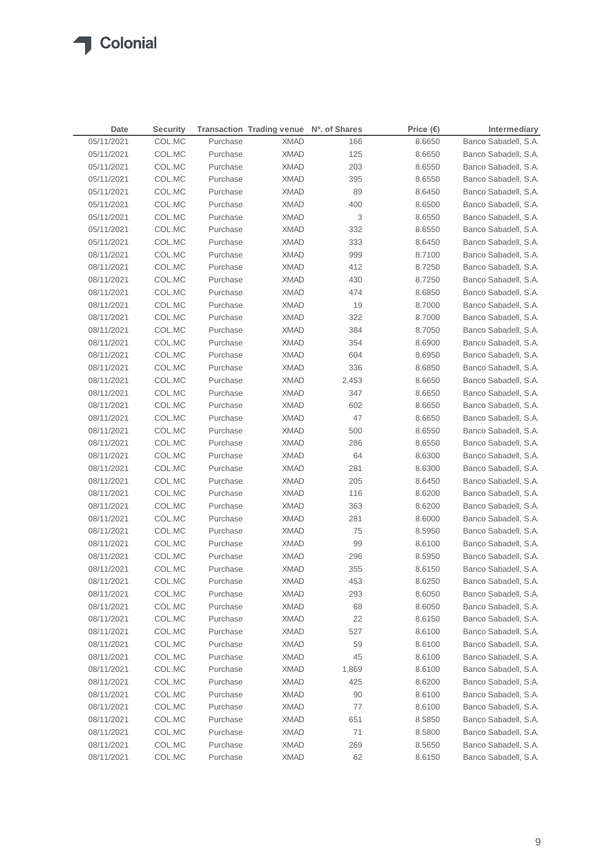### **T** Colonial

| 05/11/2021<br>COL.MC<br>Purchase<br><b>XMAD</b><br>Banco Sabadell, S.A.<br>166<br>8.6650<br>05/11/2021<br>COL.MC<br>Purchase<br><b>XMAD</b><br>125<br>8.6650<br>Banco Sabadell, S.A.<br>05/11/2021<br>COL.MC<br>Purchase<br><b>XMAD</b><br>203<br>8.6550<br>Banco Sabadell, S.A.<br>COL.MC<br>395<br>05/11/2021<br>Purchase<br><b>XMAD</b><br>8.6550<br>Banco Sabadell, S.A.<br>89<br>05/11/2021<br>COL.MC<br>Purchase<br><b>XMAD</b><br>8.6450<br>Banco Sabadell, S.A.<br>COL.MC<br>Purchase<br><b>XMAD</b><br>400<br>Banco Sabadell, S.A.<br>05/11/2021<br>8.6500<br>$\ensuremath{\mathsf{3}}$<br>05/11/2021<br>COL.MC<br>Purchase<br><b>XMAD</b><br>8.6550<br>Banco Sabadell, S.A.<br><b>XMAD</b><br>332<br>05/11/2021<br>COL.MC<br>Purchase<br>8.6550<br>Banco Sabadell, S.A.<br>333<br>05/11/2021<br>COL.MC<br>Purchase<br><b>XMAD</b><br>8.6450<br>Banco Sabadell, S.A.<br>999<br>08/11/2021<br>COL.MC<br>Purchase<br><b>XMAD</b><br>8.7100<br>Banco Sabadell, S.A.<br>412<br>08/11/2021<br>COL.MC<br>Purchase<br><b>XMAD</b><br>8.7250<br>Banco Sabadell, S.A.<br>430<br>Banco Sabadell, S.A.<br>08/11/2021<br>COL.MC<br>Purchase<br><b>XMAD</b><br>8.7250<br>474<br>08/11/2021<br>COL.MC<br>Purchase<br><b>XMAD</b><br>8.6850<br>Banco Sabadell, S.A.<br>Banco Sabadell, S.A.<br>08/11/2021<br>COL.MC<br>Purchase<br><b>XMAD</b><br>19<br>8.7000<br>322<br>Banco Sabadell, S.A.<br>08/11/2021<br>COL.MC<br>Purchase<br><b>XMAD</b><br>8.7000<br>384<br>08/11/2021<br>COL.MC<br>Purchase<br><b>XMAD</b><br>8.7050<br>Banco Sabadell, S.A.<br>354<br>08/11/2021<br>COL.MC<br>Purchase<br><b>XMAD</b><br>8.6900<br>Banco Sabadell, S.A.<br>08/11/2021<br>COL.MC<br>Purchase<br><b>XMAD</b><br>604<br>8.6950<br>Banco Sabadell, S.A.<br>08/11/2021<br>COL.MC<br>Purchase<br><b>XMAD</b><br>336<br>8.6850<br>Banco Sabadell, S.A.<br>08/11/2021<br>COL.MC<br>Purchase<br><b>XMAD</b><br>2,453<br>8.6650<br>Banco Sabadell, S.A.<br>08/11/2021<br>COL.MC<br>Purchase<br><b>XMAD</b><br>347<br>8.6650<br>Banco Sabadell, S.A.<br>602<br>08/11/2021<br>COL.MC<br>Purchase<br><b>XMAD</b><br>8.6650<br>Banco Sabadell, S.A.<br>47<br>08/11/2021<br>COL.MC<br>Purchase<br><b>XMAD</b><br>8.6650<br>Banco Sabadell, S.A.<br>500<br>08/11/2021<br>COL.MC<br>Purchase<br><b>XMAD</b><br>8.6550<br>Banco Sabadell, S.A.<br>08/11/2021<br>COL.MC<br>Purchase<br><b>XMAD</b><br>286<br>8.6550<br>Banco Sabadell, S.A.<br>08/11/2021<br>COL.MC<br>Purchase<br>64<br>8.6300<br>Banco Sabadell, S.A.<br>XMAD<br>08/11/2021<br>COL.MC<br>Purchase<br><b>XMAD</b><br>281<br>8.6300<br>Banco Sabadell, S.A.<br>08/11/2021<br>COL.MC<br>Purchase<br>205<br>Banco Sabadell, S.A.<br>XMAD<br>8.6450<br>08/11/2021<br>COL.MC<br>Purchase<br><b>XMAD</b><br>116<br>8.6200<br>Banco Sabadell, S.A.<br>08/11/2021<br>COL.MC<br>Purchase<br>363<br>8.6200<br>Banco Sabadell, S.A.<br>XMAD<br>08/11/2021<br>Purchase<br>281<br>Banco Sabadell, S.A.<br>COL.MC<br>XMAD<br>8.6000<br>08/11/2021<br>COL.MC<br>75<br>Banco Sabadell, S.A.<br>Purchase<br>XMAD<br>8.5950<br>99<br>08/11/2021<br>COL.MC<br>Banco Sabadell, S.A.<br>Purchase<br><b>XMAD</b><br>8.6100<br>08/11/2021<br>COL.MC<br>Purchase<br><b>XMAD</b><br>296<br>Banco Sabadell, S.A.<br>8.5950<br>08/11/2021<br>COL.MC<br>Purchase<br><b>XMAD</b><br>355<br>8.6150<br>Banco Sabadell, S.A.<br>08/11/2021<br>COL.MC<br>453<br>Purchase<br><b>XMAD</b><br>8.6250<br>Banco Sabadell, S.A.<br>COL.MC<br>08/11/2021<br>Purchase<br><b>XMAD</b><br>293<br>8.6050<br>Banco Sabadell, S.A.<br>68<br>08/11/2021<br>COL.MC<br>Purchase<br><b>XMAD</b><br>8.6050<br>Banco Sabadell, S.A.<br>22<br>Banco Sabadell, S.A.<br>08/11/2021<br>COL.MC<br>Purchase<br><b>XMAD</b><br>8.6150<br>527<br>08/11/2021<br>COL.MC<br>Purchase<br><b>XMAD</b><br>8.6100<br>Banco Sabadell, S.A.<br>Banco Sabadell, S.A.<br>08/11/2021<br>COL.MC<br>Purchase<br><b>XMAD</b><br>59<br>8.6100<br>08/11/2021<br>COL.MC<br>Purchase<br><b>XMAD</b><br>45<br>8.6100<br>Banco Sabadell, S.A.<br>COL.MC<br>Purchase<br>Banco Sabadell, S.A.<br>08/11/2021<br><b>XMAD</b><br>1,869<br>8.6100<br>08/11/2021<br>COL.MC<br>Purchase<br><b>XMAD</b><br>425<br>8.6200<br>Banco Sabadell, S.A.<br>Banco Sabadell, S.A.<br>08/11/2021<br>COL.MC<br>Purchase<br><b>XMAD</b><br>90<br>8.6100<br>08/11/2021<br>COL.MC<br>Purchase<br><b>XMAD</b><br>77<br>Banco Sabadell, S.A.<br>8.6100<br>08/11/2021<br>COL.MC<br>Purchase<br><b>XMAD</b><br>651<br>Banco Sabadell, S.A.<br>8.5850<br>08/11/2021<br>COL.MC<br>Purchase<br><b>XMAD</b><br>71<br>8.5800<br>Banco Sabadell, S.A.<br>08/11/2021<br>COL.MC<br>Purchase<br><b>XMAD</b><br>269<br>8.5650<br>Banco Sabadell, S.A.<br>08/11/2021<br>COL.MC<br>Purchase<br><b>XMAD</b><br>62<br>8.6150<br>Banco Sabadell, S.A. | Date | <b>Security</b> | Transaction Trading venue Nº. of Shares | Price $(\epsilon)$ | Intermediary |
|---------------------------------------------------------------------------------------------------------------------------------------------------------------------------------------------------------------------------------------------------------------------------------------------------------------------------------------------------------------------------------------------------------------------------------------------------------------------------------------------------------------------------------------------------------------------------------------------------------------------------------------------------------------------------------------------------------------------------------------------------------------------------------------------------------------------------------------------------------------------------------------------------------------------------------------------------------------------------------------------------------------------------------------------------------------------------------------------------------------------------------------------------------------------------------------------------------------------------------------------------------------------------------------------------------------------------------------------------------------------------------------------------------------------------------------------------------------------------------------------------------------------------------------------------------------------------------------------------------------------------------------------------------------------------------------------------------------------------------------------------------------------------------------------------------------------------------------------------------------------------------------------------------------------------------------------------------------------------------------------------------------------------------------------------------------------------------------------------------------------------------------------------------------------------------------------------------------------------------------------------------------------------------------------------------------------------------------------------------------------------------------------------------------------------------------------------------------------------------------------------------------------------------------------------------------------------------------------------------------------------------------------------------------------------------------------------------------------------------------------------------------------------------------------------------------------------------------------------------------------------------------------------------------------------------------------------------------------------------------------------------------------------------------------------------------------------------------------------------------------------------------------------------------------------------------------------------------------------------------------------------------------------------------------------------------------------------------------------------------------------------------------------------------------------------------------------------------------------------------------------------------------------------------------------------------------------------------------------------------------------------------------------------------------------------------------------------------------------------------------------------------------------------------------------------------------------------------------------------------------------------------------------------------------------------------------------------------------------------------------------------------------------------------------------------------------------------------------------------------------------------------------------------------------------------------------------------------------------------------------------------------------------------------------------------------------------------------------------------------------------------------------------------------------------------------------------------------------------------------------------------------------------------------------------------------------------------------------------------------------------------------------------------------------------------------------------------------------------------------------------------------|------|-----------------|-----------------------------------------|--------------------|--------------|
|                                                                                                                                                                                                                                                                                                                                                                                                                                                                                                                                                                                                                                                                                                                                                                                                                                                                                                                                                                                                                                                                                                                                                                                                                                                                                                                                                                                                                                                                                                                                                                                                                                                                                                                                                                                                                                                                                                                                                                                                                                                                                                                                                                                                                                                                                                                                                                                                                                                                                                                                                                                                                                                                                                                                                                                                                                                                                                                                                                                                                                                                                                                                                                                                                                                                                                                                                                                                                                                                                                                                                                                                                                                                                                                                                                                                                                                                                                                                                                                                                                                                                                                                                                                                                                                                                                                                                                                                                                                                                                                                                                                                                                                                                                                                                               |      |                 |                                         |                    |              |
|                                                                                                                                                                                                                                                                                                                                                                                                                                                                                                                                                                                                                                                                                                                                                                                                                                                                                                                                                                                                                                                                                                                                                                                                                                                                                                                                                                                                                                                                                                                                                                                                                                                                                                                                                                                                                                                                                                                                                                                                                                                                                                                                                                                                                                                                                                                                                                                                                                                                                                                                                                                                                                                                                                                                                                                                                                                                                                                                                                                                                                                                                                                                                                                                                                                                                                                                                                                                                                                                                                                                                                                                                                                                                                                                                                                                                                                                                                                                                                                                                                                                                                                                                                                                                                                                                                                                                                                                                                                                                                                                                                                                                                                                                                                                                               |      |                 |                                         |                    |              |
|                                                                                                                                                                                                                                                                                                                                                                                                                                                                                                                                                                                                                                                                                                                                                                                                                                                                                                                                                                                                                                                                                                                                                                                                                                                                                                                                                                                                                                                                                                                                                                                                                                                                                                                                                                                                                                                                                                                                                                                                                                                                                                                                                                                                                                                                                                                                                                                                                                                                                                                                                                                                                                                                                                                                                                                                                                                                                                                                                                                                                                                                                                                                                                                                                                                                                                                                                                                                                                                                                                                                                                                                                                                                                                                                                                                                                                                                                                                                                                                                                                                                                                                                                                                                                                                                                                                                                                                                                                                                                                                                                                                                                                                                                                                                                               |      |                 |                                         |                    |              |
|                                                                                                                                                                                                                                                                                                                                                                                                                                                                                                                                                                                                                                                                                                                                                                                                                                                                                                                                                                                                                                                                                                                                                                                                                                                                                                                                                                                                                                                                                                                                                                                                                                                                                                                                                                                                                                                                                                                                                                                                                                                                                                                                                                                                                                                                                                                                                                                                                                                                                                                                                                                                                                                                                                                                                                                                                                                                                                                                                                                                                                                                                                                                                                                                                                                                                                                                                                                                                                                                                                                                                                                                                                                                                                                                                                                                                                                                                                                                                                                                                                                                                                                                                                                                                                                                                                                                                                                                                                                                                                                                                                                                                                                                                                                                                               |      |                 |                                         |                    |              |
|                                                                                                                                                                                                                                                                                                                                                                                                                                                                                                                                                                                                                                                                                                                                                                                                                                                                                                                                                                                                                                                                                                                                                                                                                                                                                                                                                                                                                                                                                                                                                                                                                                                                                                                                                                                                                                                                                                                                                                                                                                                                                                                                                                                                                                                                                                                                                                                                                                                                                                                                                                                                                                                                                                                                                                                                                                                                                                                                                                                                                                                                                                                                                                                                                                                                                                                                                                                                                                                                                                                                                                                                                                                                                                                                                                                                                                                                                                                                                                                                                                                                                                                                                                                                                                                                                                                                                                                                                                                                                                                                                                                                                                                                                                                                                               |      |                 |                                         |                    |              |
|                                                                                                                                                                                                                                                                                                                                                                                                                                                                                                                                                                                                                                                                                                                                                                                                                                                                                                                                                                                                                                                                                                                                                                                                                                                                                                                                                                                                                                                                                                                                                                                                                                                                                                                                                                                                                                                                                                                                                                                                                                                                                                                                                                                                                                                                                                                                                                                                                                                                                                                                                                                                                                                                                                                                                                                                                                                                                                                                                                                                                                                                                                                                                                                                                                                                                                                                                                                                                                                                                                                                                                                                                                                                                                                                                                                                                                                                                                                                                                                                                                                                                                                                                                                                                                                                                                                                                                                                                                                                                                                                                                                                                                                                                                                                                               |      |                 |                                         |                    |              |
|                                                                                                                                                                                                                                                                                                                                                                                                                                                                                                                                                                                                                                                                                                                                                                                                                                                                                                                                                                                                                                                                                                                                                                                                                                                                                                                                                                                                                                                                                                                                                                                                                                                                                                                                                                                                                                                                                                                                                                                                                                                                                                                                                                                                                                                                                                                                                                                                                                                                                                                                                                                                                                                                                                                                                                                                                                                                                                                                                                                                                                                                                                                                                                                                                                                                                                                                                                                                                                                                                                                                                                                                                                                                                                                                                                                                                                                                                                                                                                                                                                                                                                                                                                                                                                                                                                                                                                                                                                                                                                                                                                                                                                                                                                                                                               |      |                 |                                         |                    |              |
|                                                                                                                                                                                                                                                                                                                                                                                                                                                                                                                                                                                                                                                                                                                                                                                                                                                                                                                                                                                                                                                                                                                                                                                                                                                                                                                                                                                                                                                                                                                                                                                                                                                                                                                                                                                                                                                                                                                                                                                                                                                                                                                                                                                                                                                                                                                                                                                                                                                                                                                                                                                                                                                                                                                                                                                                                                                                                                                                                                                                                                                                                                                                                                                                                                                                                                                                                                                                                                                                                                                                                                                                                                                                                                                                                                                                                                                                                                                                                                                                                                                                                                                                                                                                                                                                                                                                                                                                                                                                                                                                                                                                                                                                                                                                                               |      |                 |                                         |                    |              |
|                                                                                                                                                                                                                                                                                                                                                                                                                                                                                                                                                                                                                                                                                                                                                                                                                                                                                                                                                                                                                                                                                                                                                                                                                                                                                                                                                                                                                                                                                                                                                                                                                                                                                                                                                                                                                                                                                                                                                                                                                                                                                                                                                                                                                                                                                                                                                                                                                                                                                                                                                                                                                                                                                                                                                                                                                                                                                                                                                                                                                                                                                                                                                                                                                                                                                                                                                                                                                                                                                                                                                                                                                                                                                                                                                                                                                                                                                                                                                                                                                                                                                                                                                                                                                                                                                                                                                                                                                                                                                                                                                                                                                                                                                                                                                               |      |                 |                                         |                    |              |
|                                                                                                                                                                                                                                                                                                                                                                                                                                                                                                                                                                                                                                                                                                                                                                                                                                                                                                                                                                                                                                                                                                                                                                                                                                                                                                                                                                                                                                                                                                                                                                                                                                                                                                                                                                                                                                                                                                                                                                                                                                                                                                                                                                                                                                                                                                                                                                                                                                                                                                                                                                                                                                                                                                                                                                                                                                                                                                                                                                                                                                                                                                                                                                                                                                                                                                                                                                                                                                                                                                                                                                                                                                                                                                                                                                                                                                                                                                                                                                                                                                                                                                                                                                                                                                                                                                                                                                                                                                                                                                                                                                                                                                                                                                                                                               |      |                 |                                         |                    |              |
|                                                                                                                                                                                                                                                                                                                                                                                                                                                                                                                                                                                                                                                                                                                                                                                                                                                                                                                                                                                                                                                                                                                                                                                                                                                                                                                                                                                                                                                                                                                                                                                                                                                                                                                                                                                                                                                                                                                                                                                                                                                                                                                                                                                                                                                                                                                                                                                                                                                                                                                                                                                                                                                                                                                                                                                                                                                                                                                                                                                                                                                                                                                                                                                                                                                                                                                                                                                                                                                                                                                                                                                                                                                                                                                                                                                                                                                                                                                                                                                                                                                                                                                                                                                                                                                                                                                                                                                                                                                                                                                                                                                                                                                                                                                                                               |      |                 |                                         |                    |              |
|                                                                                                                                                                                                                                                                                                                                                                                                                                                                                                                                                                                                                                                                                                                                                                                                                                                                                                                                                                                                                                                                                                                                                                                                                                                                                                                                                                                                                                                                                                                                                                                                                                                                                                                                                                                                                                                                                                                                                                                                                                                                                                                                                                                                                                                                                                                                                                                                                                                                                                                                                                                                                                                                                                                                                                                                                                                                                                                                                                                                                                                                                                                                                                                                                                                                                                                                                                                                                                                                                                                                                                                                                                                                                                                                                                                                                                                                                                                                                                                                                                                                                                                                                                                                                                                                                                                                                                                                                                                                                                                                                                                                                                                                                                                                                               |      |                 |                                         |                    |              |
|                                                                                                                                                                                                                                                                                                                                                                                                                                                                                                                                                                                                                                                                                                                                                                                                                                                                                                                                                                                                                                                                                                                                                                                                                                                                                                                                                                                                                                                                                                                                                                                                                                                                                                                                                                                                                                                                                                                                                                                                                                                                                                                                                                                                                                                                                                                                                                                                                                                                                                                                                                                                                                                                                                                                                                                                                                                                                                                                                                                                                                                                                                                                                                                                                                                                                                                                                                                                                                                                                                                                                                                                                                                                                                                                                                                                                                                                                                                                                                                                                                                                                                                                                                                                                                                                                                                                                                                                                                                                                                                                                                                                                                                                                                                                                               |      |                 |                                         |                    |              |
|                                                                                                                                                                                                                                                                                                                                                                                                                                                                                                                                                                                                                                                                                                                                                                                                                                                                                                                                                                                                                                                                                                                                                                                                                                                                                                                                                                                                                                                                                                                                                                                                                                                                                                                                                                                                                                                                                                                                                                                                                                                                                                                                                                                                                                                                                                                                                                                                                                                                                                                                                                                                                                                                                                                                                                                                                                                                                                                                                                                                                                                                                                                                                                                                                                                                                                                                                                                                                                                                                                                                                                                                                                                                                                                                                                                                                                                                                                                                                                                                                                                                                                                                                                                                                                                                                                                                                                                                                                                                                                                                                                                                                                                                                                                                                               |      |                 |                                         |                    |              |
|                                                                                                                                                                                                                                                                                                                                                                                                                                                                                                                                                                                                                                                                                                                                                                                                                                                                                                                                                                                                                                                                                                                                                                                                                                                                                                                                                                                                                                                                                                                                                                                                                                                                                                                                                                                                                                                                                                                                                                                                                                                                                                                                                                                                                                                                                                                                                                                                                                                                                                                                                                                                                                                                                                                                                                                                                                                                                                                                                                                                                                                                                                                                                                                                                                                                                                                                                                                                                                                                                                                                                                                                                                                                                                                                                                                                                                                                                                                                                                                                                                                                                                                                                                                                                                                                                                                                                                                                                                                                                                                                                                                                                                                                                                                                                               |      |                 |                                         |                    |              |
|                                                                                                                                                                                                                                                                                                                                                                                                                                                                                                                                                                                                                                                                                                                                                                                                                                                                                                                                                                                                                                                                                                                                                                                                                                                                                                                                                                                                                                                                                                                                                                                                                                                                                                                                                                                                                                                                                                                                                                                                                                                                                                                                                                                                                                                                                                                                                                                                                                                                                                                                                                                                                                                                                                                                                                                                                                                                                                                                                                                                                                                                                                                                                                                                                                                                                                                                                                                                                                                                                                                                                                                                                                                                                                                                                                                                                                                                                                                                                                                                                                                                                                                                                                                                                                                                                                                                                                                                                                                                                                                                                                                                                                                                                                                                                               |      |                 |                                         |                    |              |
|                                                                                                                                                                                                                                                                                                                                                                                                                                                                                                                                                                                                                                                                                                                                                                                                                                                                                                                                                                                                                                                                                                                                                                                                                                                                                                                                                                                                                                                                                                                                                                                                                                                                                                                                                                                                                                                                                                                                                                                                                                                                                                                                                                                                                                                                                                                                                                                                                                                                                                                                                                                                                                                                                                                                                                                                                                                                                                                                                                                                                                                                                                                                                                                                                                                                                                                                                                                                                                                                                                                                                                                                                                                                                                                                                                                                                                                                                                                                                                                                                                                                                                                                                                                                                                                                                                                                                                                                                                                                                                                                                                                                                                                                                                                                                               |      |                 |                                         |                    |              |
|                                                                                                                                                                                                                                                                                                                                                                                                                                                                                                                                                                                                                                                                                                                                                                                                                                                                                                                                                                                                                                                                                                                                                                                                                                                                                                                                                                                                                                                                                                                                                                                                                                                                                                                                                                                                                                                                                                                                                                                                                                                                                                                                                                                                                                                                                                                                                                                                                                                                                                                                                                                                                                                                                                                                                                                                                                                                                                                                                                                                                                                                                                                                                                                                                                                                                                                                                                                                                                                                                                                                                                                                                                                                                                                                                                                                                                                                                                                                                                                                                                                                                                                                                                                                                                                                                                                                                                                                                                                                                                                                                                                                                                                                                                                                                               |      |                 |                                         |                    |              |
|                                                                                                                                                                                                                                                                                                                                                                                                                                                                                                                                                                                                                                                                                                                                                                                                                                                                                                                                                                                                                                                                                                                                                                                                                                                                                                                                                                                                                                                                                                                                                                                                                                                                                                                                                                                                                                                                                                                                                                                                                                                                                                                                                                                                                                                                                                                                                                                                                                                                                                                                                                                                                                                                                                                                                                                                                                                                                                                                                                                                                                                                                                                                                                                                                                                                                                                                                                                                                                                                                                                                                                                                                                                                                                                                                                                                                                                                                                                                                                                                                                                                                                                                                                                                                                                                                                                                                                                                                                                                                                                                                                                                                                                                                                                                                               |      |                 |                                         |                    |              |
|                                                                                                                                                                                                                                                                                                                                                                                                                                                                                                                                                                                                                                                                                                                                                                                                                                                                                                                                                                                                                                                                                                                                                                                                                                                                                                                                                                                                                                                                                                                                                                                                                                                                                                                                                                                                                                                                                                                                                                                                                                                                                                                                                                                                                                                                                                                                                                                                                                                                                                                                                                                                                                                                                                                                                                                                                                                                                                                                                                                                                                                                                                                                                                                                                                                                                                                                                                                                                                                                                                                                                                                                                                                                                                                                                                                                                                                                                                                                                                                                                                                                                                                                                                                                                                                                                                                                                                                                                                                                                                                                                                                                                                                                                                                                                               |      |                 |                                         |                    |              |
|                                                                                                                                                                                                                                                                                                                                                                                                                                                                                                                                                                                                                                                                                                                                                                                                                                                                                                                                                                                                                                                                                                                                                                                                                                                                                                                                                                                                                                                                                                                                                                                                                                                                                                                                                                                                                                                                                                                                                                                                                                                                                                                                                                                                                                                                                                                                                                                                                                                                                                                                                                                                                                                                                                                                                                                                                                                                                                                                                                                                                                                                                                                                                                                                                                                                                                                                                                                                                                                                                                                                                                                                                                                                                                                                                                                                                                                                                                                                                                                                                                                                                                                                                                                                                                                                                                                                                                                                                                                                                                                                                                                                                                                                                                                                                               |      |                 |                                         |                    |              |
|                                                                                                                                                                                                                                                                                                                                                                                                                                                                                                                                                                                                                                                                                                                                                                                                                                                                                                                                                                                                                                                                                                                                                                                                                                                                                                                                                                                                                                                                                                                                                                                                                                                                                                                                                                                                                                                                                                                                                                                                                                                                                                                                                                                                                                                                                                                                                                                                                                                                                                                                                                                                                                                                                                                                                                                                                                                                                                                                                                                                                                                                                                                                                                                                                                                                                                                                                                                                                                                                                                                                                                                                                                                                                                                                                                                                                                                                                                                                                                                                                                                                                                                                                                                                                                                                                                                                                                                                                                                                                                                                                                                                                                                                                                                                                               |      |                 |                                         |                    |              |
|                                                                                                                                                                                                                                                                                                                                                                                                                                                                                                                                                                                                                                                                                                                                                                                                                                                                                                                                                                                                                                                                                                                                                                                                                                                                                                                                                                                                                                                                                                                                                                                                                                                                                                                                                                                                                                                                                                                                                                                                                                                                                                                                                                                                                                                                                                                                                                                                                                                                                                                                                                                                                                                                                                                                                                                                                                                                                                                                                                                                                                                                                                                                                                                                                                                                                                                                                                                                                                                                                                                                                                                                                                                                                                                                                                                                                                                                                                                                                                                                                                                                                                                                                                                                                                                                                                                                                                                                                                                                                                                                                                                                                                                                                                                                                               |      |                 |                                         |                    |              |
|                                                                                                                                                                                                                                                                                                                                                                                                                                                                                                                                                                                                                                                                                                                                                                                                                                                                                                                                                                                                                                                                                                                                                                                                                                                                                                                                                                                                                                                                                                                                                                                                                                                                                                                                                                                                                                                                                                                                                                                                                                                                                                                                                                                                                                                                                                                                                                                                                                                                                                                                                                                                                                                                                                                                                                                                                                                                                                                                                                                                                                                                                                                                                                                                                                                                                                                                                                                                                                                                                                                                                                                                                                                                                                                                                                                                                                                                                                                                                                                                                                                                                                                                                                                                                                                                                                                                                                                                                                                                                                                                                                                                                                                                                                                                                               |      |                 |                                         |                    |              |
|                                                                                                                                                                                                                                                                                                                                                                                                                                                                                                                                                                                                                                                                                                                                                                                                                                                                                                                                                                                                                                                                                                                                                                                                                                                                                                                                                                                                                                                                                                                                                                                                                                                                                                                                                                                                                                                                                                                                                                                                                                                                                                                                                                                                                                                                                                                                                                                                                                                                                                                                                                                                                                                                                                                                                                                                                                                                                                                                                                                                                                                                                                                                                                                                                                                                                                                                                                                                                                                                                                                                                                                                                                                                                                                                                                                                                                                                                                                                                                                                                                                                                                                                                                                                                                                                                                                                                                                                                                                                                                                                                                                                                                                                                                                                                               |      |                 |                                         |                    |              |
|                                                                                                                                                                                                                                                                                                                                                                                                                                                                                                                                                                                                                                                                                                                                                                                                                                                                                                                                                                                                                                                                                                                                                                                                                                                                                                                                                                                                                                                                                                                                                                                                                                                                                                                                                                                                                                                                                                                                                                                                                                                                                                                                                                                                                                                                                                                                                                                                                                                                                                                                                                                                                                                                                                                                                                                                                                                                                                                                                                                                                                                                                                                                                                                                                                                                                                                                                                                                                                                                                                                                                                                                                                                                                                                                                                                                                                                                                                                                                                                                                                                                                                                                                                                                                                                                                                                                                                                                                                                                                                                                                                                                                                                                                                                                                               |      |                 |                                         |                    |              |
|                                                                                                                                                                                                                                                                                                                                                                                                                                                                                                                                                                                                                                                                                                                                                                                                                                                                                                                                                                                                                                                                                                                                                                                                                                                                                                                                                                                                                                                                                                                                                                                                                                                                                                                                                                                                                                                                                                                                                                                                                                                                                                                                                                                                                                                                                                                                                                                                                                                                                                                                                                                                                                                                                                                                                                                                                                                                                                                                                                                                                                                                                                                                                                                                                                                                                                                                                                                                                                                                                                                                                                                                                                                                                                                                                                                                                                                                                                                                                                                                                                                                                                                                                                                                                                                                                                                                                                                                                                                                                                                                                                                                                                                                                                                                                               |      |                 |                                         |                    |              |
|                                                                                                                                                                                                                                                                                                                                                                                                                                                                                                                                                                                                                                                                                                                                                                                                                                                                                                                                                                                                                                                                                                                                                                                                                                                                                                                                                                                                                                                                                                                                                                                                                                                                                                                                                                                                                                                                                                                                                                                                                                                                                                                                                                                                                                                                                                                                                                                                                                                                                                                                                                                                                                                                                                                                                                                                                                                                                                                                                                                                                                                                                                                                                                                                                                                                                                                                                                                                                                                                                                                                                                                                                                                                                                                                                                                                                                                                                                                                                                                                                                                                                                                                                                                                                                                                                                                                                                                                                                                                                                                                                                                                                                                                                                                                                               |      |                 |                                         |                    |              |
|                                                                                                                                                                                                                                                                                                                                                                                                                                                                                                                                                                                                                                                                                                                                                                                                                                                                                                                                                                                                                                                                                                                                                                                                                                                                                                                                                                                                                                                                                                                                                                                                                                                                                                                                                                                                                                                                                                                                                                                                                                                                                                                                                                                                                                                                                                                                                                                                                                                                                                                                                                                                                                                                                                                                                                                                                                                                                                                                                                                                                                                                                                                                                                                                                                                                                                                                                                                                                                                                                                                                                                                                                                                                                                                                                                                                                                                                                                                                                                                                                                                                                                                                                                                                                                                                                                                                                                                                                                                                                                                                                                                                                                                                                                                                                               |      |                 |                                         |                    |              |
|                                                                                                                                                                                                                                                                                                                                                                                                                                                                                                                                                                                                                                                                                                                                                                                                                                                                                                                                                                                                                                                                                                                                                                                                                                                                                                                                                                                                                                                                                                                                                                                                                                                                                                                                                                                                                                                                                                                                                                                                                                                                                                                                                                                                                                                                                                                                                                                                                                                                                                                                                                                                                                                                                                                                                                                                                                                                                                                                                                                                                                                                                                                                                                                                                                                                                                                                                                                                                                                                                                                                                                                                                                                                                                                                                                                                                                                                                                                                                                                                                                                                                                                                                                                                                                                                                                                                                                                                                                                                                                                                                                                                                                                                                                                                                               |      |                 |                                         |                    |              |
|                                                                                                                                                                                                                                                                                                                                                                                                                                                                                                                                                                                                                                                                                                                                                                                                                                                                                                                                                                                                                                                                                                                                                                                                                                                                                                                                                                                                                                                                                                                                                                                                                                                                                                                                                                                                                                                                                                                                                                                                                                                                                                                                                                                                                                                                                                                                                                                                                                                                                                                                                                                                                                                                                                                                                                                                                                                                                                                                                                                                                                                                                                                                                                                                                                                                                                                                                                                                                                                                                                                                                                                                                                                                                                                                                                                                                                                                                                                                                                                                                                                                                                                                                                                                                                                                                                                                                                                                                                                                                                                                                                                                                                                                                                                                                               |      |                 |                                         |                    |              |
|                                                                                                                                                                                                                                                                                                                                                                                                                                                                                                                                                                                                                                                                                                                                                                                                                                                                                                                                                                                                                                                                                                                                                                                                                                                                                                                                                                                                                                                                                                                                                                                                                                                                                                                                                                                                                                                                                                                                                                                                                                                                                                                                                                                                                                                                                                                                                                                                                                                                                                                                                                                                                                                                                                                                                                                                                                                                                                                                                                                                                                                                                                                                                                                                                                                                                                                                                                                                                                                                                                                                                                                                                                                                                                                                                                                                                                                                                                                                                                                                                                                                                                                                                                                                                                                                                                                                                                                                                                                                                                                                                                                                                                                                                                                                                               |      |                 |                                         |                    |              |
|                                                                                                                                                                                                                                                                                                                                                                                                                                                                                                                                                                                                                                                                                                                                                                                                                                                                                                                                                                                                                                                                                                                                                                                                                                                                                                                                                                                                                                                                                                                                                                                                                                                                                                                                                                                                                                                                                                                                                                                                                                                                                                                                                                                                                                                                                                                                                                                                                                                                                                                                                                                                                                                                                                                                                                                                                                                                                                                                                                                                                                                                                                                                                                                                                                                                                                                                                                                                                                                                                                                                                                                                                                                                                                                                                                                                                                                                                                                                                                                                                                                                                                                                                                                                                                                                                                                                                                                                                                                                                                                                                                                                                                                                                                                                                               |      |                 |                                         |                    |              |
|                                                                                                                                                                                                                                                                                                                                                                                                                                                                                                                                                                                                                                                                                                                                                                                                                                                                                                                                                                                                                                                                                                                                                                                                                                                                                                                                                                                                                                                                                                                                                                                                                                                                                                                                                                                                                                                                                                                                                                                                                                                                                                                                                                                                                                                                                                                                                                                                                                                                                                                                                                                                                                                                                                                                                                                                                                                                                                                                                                                                                                                                                                                                                                                                                                                                                                                                                                                                                                                                                                                                                                                                                                                                                                                                                                                                                                                                                                                                                                                                                                                                                                                                                                                                                                                                                                                                                                                                                                                                                                                                                                                                                                                                                                                                                               |      |                 |                                         |                    |              |
|                                                                                                                                                                                                                                                                                                                                                                                                                                                                                                                                                                                                                                                                                                                                                                                                                                                                                                                                                                                                                                                                                                                                                                                                                                                                                                                                                                                                                                                                                                                                                                                                                                                                                                                                                                                                                                                                                                                                                                                                                                                                                                                                                                                                                                                                                                                                                                                                                                                                                                                                                                                                                                                                                                                                                                                                                                                                                                                                                                                                                                                                                                                                                                                                                                                                                                                                                                                                                                                                                                                                                                                                                                                                                                                                                                                                                                                                                                                                                                                                                                                                                                                                                                                                                                                                                                                                                                                                                                                                                                                                                                                                                                                                                                                                                               |      |                 |                                         |                    |              |
|                                                                                                                                                                                                                                                                                                                                                                                                                                                                                                                                                                                                                                                                                                                                                                                                                                                                                                                                                                                                                                                                                                                                                                                                                                                                                                                                                                                                                                                                                                                                                                                                                                                                                                                                                                                                                                                                                                                                                                                                                                                                                                                                                                                                                                                                                                                                                                                                                                                                                                                                                                                                                                                                                                                                                                                                                                                                                                                                                                                                                                                                                                                                                                                                                                                                                                                                                                                                                                                                                                                                                                                                                                                                                                                                                                                                                                                                                                                                                                                                                                                                                                                                                                                                                                                                                                                                                                                                                                                                                                                                                                                                                                                                                                                                                               |      |                 |                                         |                    |              |
|                                                                                                                                                                                                                                                                                                                                                                                                                                                                                                                                                                                                                                                                                                                                                                                                                                                                                                                                                                                                                                                                                                                                                                                                                                                                                                                                                                                                                                                                                                                                                                                                                                                                                                                                                                                                                                                                                                                                                                                                                                                                                                                                                                                                                                                                                                                                                                                                                                                                                                                                                                                                                                                                                                                                                                                                                                                                                                                                                                                                                                                                                                                                                                                                                                                                                                                                                                                                                                                                                                                                                                                                                                                                                                                                                                                                                                                                                                                                                                                                                                                                                                                                                                                                                                                                                                                                                                                                                                                                                                                                                                                                                                                                                                                                                               |      |                 |                                         |                    |              |
|                                                                                                                                                                                                                                                                                                                                                                                                                                                                                                                                                                                                                                                                                                                                                                                                                                                                                                                                                                                                                                                                                                                                                                                                                                                                                                                                                                                                                                                                                                                                                                                                                                                                                                                                                                                                                                                                                                                                                                                                                                                                                                                                                                                                                                                                                                                                                                                                                                                                                                                                                                                                                                                                                                                                                                                                                                                                                                                                                                                                                                                                                                                                                                                                                                                                                                                                                                                                                                                                                                                                                                                                                                                                                                                                                                                                                                                                                                                                                                                                                                                                                                                                                                                                                                                                                                                                                                                                                                                                                                                                                                                                                                                                                                                                                               |      |                 |                                         |                    |              |
|                                                                                                                                                                                                                                                                                                                                                                                                                                                                                                                                                                                                                                                                                                                                                                                                                                                                                                                                                                                                                                                                                                                                                                                                                                                                                                                                                                                                                                                                                                                                                                                                                                                                                                                                                                                                                                                                                                                                                                                                                                                                                                                                                                                                                                                                                                                                                                                                                                                                                                                                                                                                                                                                                                                                                                                                                                                                                                                                                                                                                                                                                                                                                                                                                                                                                                                                                                                                                                                                                                                                                                                                                                                                                                                                                                                                                                                                                                                                                                                                                                                                                                                                                                                                                                                                                                                                                                                                                                                                                                                                                                                                                                                                                                                                                               |      |                 |                                         |                    |              |
|                                                                                                                                                                                                                                                                                                                                                                                                                                                                                                                                                                                                                                                                                                                                                                                                                                                                                                                                                                                                                                                                                                                                                                                                                                                                                                                                                                                                                                                                                                                                                                                                                                                                                                                                                                                                                                                                                                                                                                                                                                                                                                                                                                                                                                                                                                                                                                                                                                                                                                                                                                                                                                                                                                                                                                                                                                                                                                                                                                                                                                                                                                                                                                                                                                                                                                                                                                                                                                                                                                                                                                                                                                                                                                                                                                                                                                                                                                                                                                                                                                                                                                                                                                                                                                                                                                                                                                                                                                                                                                                                                                                                                                                                                                                                                               |      |                 |                                         |                    |              |
|                                                                                                                                                                                                                                                                                                                                                                                                                                                                                                                                                                                                                                                                                                                                                                                                                                                                                                                                                                                                                                                                                                                                                                                                                                                                                                                                                                                                                                                                                                                                                                                                                                                                                                                                                                                                                                                                                                                                                                                                                                                                                                                                                                                                                                                                                                                                                                                                                                                                                                                                                                                                                                                                                                                                                                                                                                                                                                                                                                                                                                                                                                                                                                                                                                                                                                                                                                                                                                                                                                                                                                                                                                                                                                                                                                                                                                                                                                                                                                                                                                                                                                                                                                                                                                                                                                                                                                                                                                                                                                                                                                                                                                                                                                                                                               |      |                 |                                         |                    |              |
|                                                                                                                                                                                                                                                                                                                                                                                                                                                                                                                                                                                                                                                                                                                                                                                                                                                                                                                                                                                                                                                                                                                                                                                                                                                                                                                                                                                                                                                                                                                                                                                                                                                                                                                                                                                                                                                                                                                                                                                                                                                                                                                                                                                                                                                                                                                                                                                                                                                                                                                                                                                                                                                                                                                                                                                                                                                                                                                                                                                                                                                                                                                                                                                                                                                                                                                                                                                                                                                                                                                                                                                                                                                                                                                                                                                                                                                                                                                                                                                                                                                                                                                                                                                                                                                                                                                                                                                                                                                                                                                                                                                                                                                                                                                                                               |      |                 |                                         |                    |              |
|                                                                                                                                                                                                                                                                                                                                                                                                                                                                                                                                                                                                                                                                                                                                                                                                                                                                                                                                                                                                                                                                                                                                                                                                                                                                                                                                                                                                                                                                                                                                                                                                                                                                                                                                                                                                                                                                                                                                                                                                                                                                                                                                                                                                                                                                                                                                                                                                                                                                                                                                                                                                                                                                                                                                                                                                                                                                                                                                                                                                                                                                                                                                                                                                                                                                                                                                                                                                                                                                                                                                                                                                                                                                                                                                                                                                                                                                                                                                                                                                                                                                                                                                                                                                                                                                                                                                                                                                                                                                                                                                                                                                                                                                                                                                                               |      |                 |                                         |                    |              |
|                                                                                                                                                                                                                                                                                                                                                                                                                                                                                                                                                                                                                                                                                                                                                                                                                                                                                                                                                                                                                                                                                                                                                                                                                                                                                                                                                                                                                                                                                                                                                                                                                                                                                                                                                                                                                                                                                                                                                                                                                                                                                                                                                                                                                                                                                                                                                                                                                                                                                                                                                                                                                                                                                                                                                                                                                                                                                                                                                                                                                                                                                                                                                                                                                                                                                                                                                                                                                                                                                                                                                                                                                                                                                                                                                                                                                                                                                                                                                                                                                                                                                                                                                                                                                                                                                                                                                                                                                                                                                                                                                                                                                                                                                                                                                               |      |                 |                                         |                    |              |
|                                                                                                                                                                                                                                                                                                                                                                                                                                                                                                                                                                                                                                                                                                                                                                                                                                                                                                                                                                                                                                                                                                                                                                                                                                                                                                                                                                                                                                                                                                                                                                                                                                                                                                                                                                                                                                                                                                                                                                                                                                                                                                                                                                                                                                                                                                                                                                                                                                                                                                                                                                                                                                                                                                                                                                                                                                                                                                                                                                                                                                                                                                                                                                                                                                                                                                                                                                                                                                                                                                                                                                                                                                                                                                                                                                                                                                                                                                                                                                                                                                                                                                                                                                                                                                                                                                                                                                                                                                                                                                                                                                                                                                                                                                                                                               |      |                 |                                         |                    |              |
|                                                                                                                                                                                                                                                                                                                                                                                                                                                                                                                                                                                                                                                                                                                                                                                                                                                                                                                                                                                                                                                                                                                                                                                                                                                                                                                                                                                                                                                                                                                                                                                                                                                                                                                                                                                                                                                                                                                                                                                                                                                                                                                                                                                                                                                                                                                                                                                                                                                                                                                                                                                                                                                                                                                                                                                                                                                                                                                                                                                                                                                                                                                                                                                                                                                                                                                                                                                                                                                                                                                                                                                                                                                                                                                                                                                                                                                                                                                                                                                                                                                                                                                                                                                                                                                                                                                                                                                                                                                                                                                                                                                                                                                                                                                                                               |      |                 |                                         |                    |              |
|                                                                                                                                                                                                                                                                                                                                                                                                                                                                                                                                                                                                                                                                                                                                                                                                                                                                                                                                                                                                                                                                                                                                                                                                                                                                                                                                                                                                                                                                                                                                                                                                                                                                                                                                                                                                                                                                                                                                                                                                                                                                                                                                                                                                                                                                                                                                                                                                                                                                                                                                                                                                                                                                                                                                                                                                                                                                                                                                                                                                                                                                                                                                                                                                                                                                                                                                                                                                                                                                                                                                                                                                                                                                                                                                                                                                                                                                                                                                                                                                                                                                                                                                                                                                                                                                                                                                                                                                                                                                                                                                                                                                                                                                                                                                                               |      |                 |                                         |                    |              |
|                                                                                                                                                                                                                                                                                                                                                                                                                                                                                                                                                                                                                                                                                                                                                                                                                                                                                                                                                                                                                                                                                                                                                                                                                                                                                                                                                                                                                                                                                                                                                                                                                                                                                                                                                                                                                                                                                                                                                                                                                                                                                                                                                                                                                                                                                                                                                                                                                                                                                                                                                                                                                                                                                                                                                                                                                                                                                                                                                                                                                                                                                                                                                                                                                                                                                                                                                                                                                                                                                                                                                                                                                                                                                                                                                                                                                                                                                                                                                                                                                                                                                                                                                                                                                                                                                                                                                                                                                                                                                                                                                                                                                                                                                                                                                               |      |                 |                                         |                    |              |
|                                                                                                                                                                                                                                                                                                                                                                                                                                                                                                                                                                                                                                                                                                                                                                                                                                                                                                                                                                                                                                                                                                                                                                                                                                                                                                                                                                                                                                                                                                                                                                                                                                                                                                                                                                                                                                                                                                                                                                                                                                                                                                                                                                                                                                                                                                                                                                                                                                                                                                                                                                                                                                                                                                                                                                                                                                                                                                                                                                                                                                                                                                                                                                                                                                                                                                                                                                                                                                                                                                                                                                                                                                                                                                                                                                                                                                                                                                                                                                                                                                                                                                                                                                                                                                                                                                                                                                                                                                                                                                                                                                                                                                                                                                                                                               |      |                 |                                         |                    |              |
|                                                                                                                                                                                                                                                                                                                                                                                                                                                                                                                                                                                                                                                                                                                                                                                                                                                                                                                                                                                                                                                                                                                                                                                                                                                                                                                                                                                                                                                                                                                                                                                                                                                                                                                                                                                                                                                                                                                                                                                                                                                                                                                                                                                                                                                                                                                                                                                                                                                                                                                                                                                                                                                                                                                                                                                                                                                                                                                                                                                                                                                                                                                                                                                                                                                                                                                                                                                                                                                                                                                                                                                                                                                                                                                                                                                                                                                                                                                                                                                                                                                                                                                                                                                                                                                                                                                                                                                                                                                                                                                                                                                                                                                                                                                                                               |      |                 |                                         |                    |              |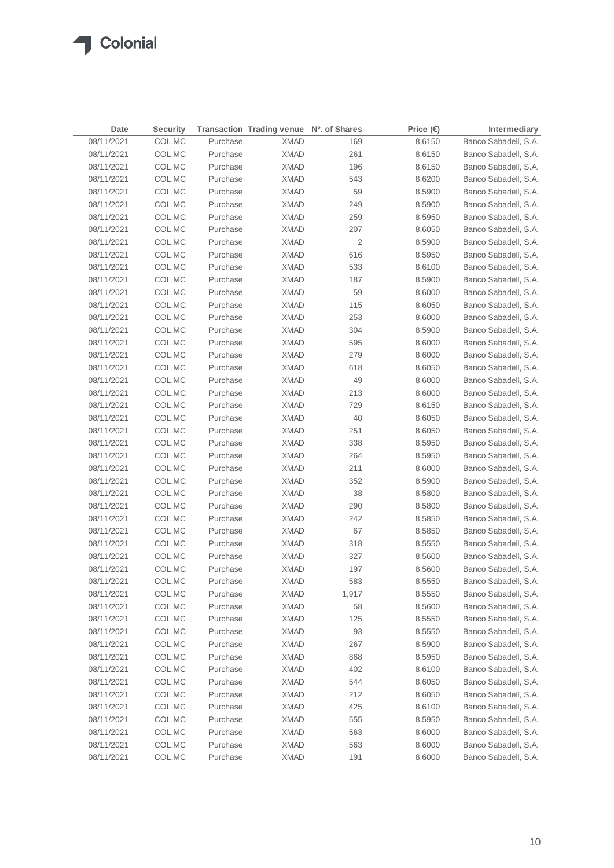$\sqrt{2}$ 

| Date       | <b>Security</b> |          | Transaction Trading venue Nº. of Shares |                | Price $(\epsilon)$ | Intermediary         |
|------------|-----------------|----------|-----------------------------------------|----------------|--------------------|----------------------|
| 08/11/2021 | COL.MC          | Purchase | <b>XMAD</b>                             | 169            | 8.6150             | Banco Sabadell, S.A. |
| 08/11/2021 | COL.MC          | Purchase | <b>XMAD</b>                             | 261            | 8.6150             | Banco Sabadell, S.A. |
| 08/11/2021 | COL.MC          | Purchase | <b>XMAD</b>                             | 196            | 8.6150             | Banco Sabadell, S.A. |
| 08/11/2021 | COL.MC          | Purchase | <b>XMAD</b>                             | 543            | 8.6200             | Banco Sabadell, S.A. |
| 08/11/2021 | COL.MC          | Purchase | <b>XMAD</b>                             | 59             | 8.5900             | Banco Sabadell, S.A. |
| 08/11/2021 | COL.MC          | Purchase | <b>XMAD</b>                             | 249            | 8.5900             | Banco Sabadell, S.A. |
| 08/11/2021 | COL.MC          | Purchase | <b>XMAD</b>                             | 259            | 8.5950             | Banco Sabadell, S.A. |
| 08/11/2021 | COL.MC          | Purchase | <b>XMAD</b>                             | 207            | 8.6050             | Banco Sabadell, S.A. |
| 08/11/2021 | COL.MC          | Purchase | <b>XMAD</b>                             | $\overline{2}$ | 8.5900             | Banco Sabadell, S.A. |
| 08/11/2021 | COL.MC          | Purchase | <b>XMAD</b>                             | 616            | 8.5950             | Banco Sabadell, S.A. |
| 08/11/2021 | COL.MC          | Purchase | <b>XMAD</b>                             | 533            | 8.6100             | Banco Sabadell, S.A. |
| 08/11/2021 | COL.MC          | Purchase | <b>XMAD</b>                             | 187            | 8.5900             | Banco Sabadell, S.A. |
| 08/11/2021 | COL.MC          | Purchase | <b>XMAD</b>                             | 59             | 8.6000             | Banco Sabadell, S.A. |
| 08/11/2021 | COL.MC          | Purchase | <b>XMAD</b>                             | 115            | 8.6050             | Banco Sabadell, S.A. |
| 08/11/2021 | COL.MC          | Purchase | <b>XMAD</b>                             | 253            | 8.6000             | Banco Sabadell, S.A. |
| 08/11/2021 | COL.MC          | Purchase | <b>XMAD</b>                             | 304            | 8.5900             | Banco Sabadell, S.A. |
| 08/11/2021 | COL.MC          | Purchase | <b>XMAD</b>                             | 595            | 8.6000             | Banco Sabadell, S.A. |
| 08/11/2021 | COL.MC          | Purchase | <b>XMAD</b>                             | 279            | 8.6000             | Banco Sabadell, S.A. |
| 08/11/2021 | COL.MC          | Purchase | <b>XMAD</b>                             | 618            | 8.6050             | Banco Sabadell, S.A. |
| 08/11/2021 | COL.MC          | Purchase | <b>XMAD</b>                             | 49             | 8.6000             | Banco Sabadell, S.A. |
| 08/11/2021 | COL.MC          | Purchase | <b>XMAD</b>                             | 213            | 8.6000             | Banco Sabadell, S.A. |
| 08/11/2021 | COL.MC          | Purchase | <b>XMAD</b>                             | 729            | 8.6150             | Banco Sabadell, S.A. |
| 08/11/2021 | COL.MC          | Purchase | <b>XMAD</b>                             | 40             | 8.6050             | Banco Sabadell, S.A. |
| 08/11/2021 | COL.MC          | Purchase | <b>XMAD</b>                             | 251            | 8.6050             | Banco Sabadell, S.A. |
| 08/11/2021 | COL.MC          | Purchase | <b>XMAD</b>                             | 338            | 8.5950             | Banco Sabadell, S.A. |
| 08/11/2021 | COL.MC          | Purchase | <b>XMAD</b>                             | 264            | 8.5950             | Banco Sabadell, S.A. |
| 08/11/2021 | COL.MC          | Purchase | <b>XMAD</b>                             | 211            | 8.6000             | Banco Sabadell, S.A. |
| 08/11/2021 | COL.MC          | Purchase | XMAD                                    | 352            | 8.5900             | Banco Sabadell, S.A. |
| 08/11/2021 | COL.MC          | Purchase | <b>XMAD</b>                             | 38             | 8.5800             | Banco Sabadell, S.A. |
| 08/11/2021 | COL.MC          | Purchase | XMAD                                    | 290            | 8.5800             | Banco Sabadell, S.A. |
| 08/11/2021 | COL.MC          | Purchase | <b>XMAD</b>                             | 242            | 8.5850             | Banco Sabadell, S.A. |
| 08/11/2021 | COL.MC          | Purchase | XMAD                                    | 67             | 8.5850             | Banco Sabadell, S.A. |
| 08/11/2021 | COL.MC          | Purchase | XMAD                                    | 318            | 8.5550             | Banco Sabadell, S.A. |
| 08/11/2021 | COL.MC          | Purchase | XMAD                                    | 327            | 8.5600             | Banco Sabadell, S.A. |
| 08/11/2021 | COL.MC          | Purchase | <b>XMAD</b>                             | 197            | 8.5600             | Banco Sabadell, S.A. |
| 08/11/2021 | COL.MC          | Purchase | <b>XMAD</b>                             | 583            | 8.5550             | Banco Sabadell, S.A. |
| 08/11/2021 | COL.MC          | Purchase | <b>XMAD</b>                             | 1,917          | 8.5550             | Banco Sabadell, S.A. |
| 08/11/2021 | COL.MC          | Purchase | <b>XMAD</b>                             | 58             | 8.5600             | Banco Sabadell, S.A. |
| 08/11/2021 | COL.MC          | Purchase | <b>XMAD</b>                             | 125            | 8.5550             | Banco Sabadell, S.A. |
| 08/11/2021 | COL.MC          | Purchase | <b>XMAD</b>                             | 93             | 8.5550             | Banco Sabadell, S.A. |
| 08/11/2021 | COL.MC          | Purchase | <b>XMAD</b>                             | 267            | 8.5900             | Banco Sabadell, S.A. |
| 08/11/2021 | COL.MC          | Purchase | <b>XMAD</b>                             | 868            | 8.5950             | Banco Sabadell, S.A. |
| 08/11/2021 | COL.MC          | Purchase | <b>XMAD</b>                             | 402            | 8.6100             | Banco Sabadell, S.A. |
| 08/11/2021 | COL.MC          | Purchase | <b>XMAD</b>                             | 544            | 8.6050             | Banco Sabadell, S.A. |
| 08/11/2021 | COL.MC          | Purchase | <b>XMAD</b>                             | 212            | 8.6050             | Banco Sabadell, S.A. |
| 08/11/2021 | COL.MC          | Purchase | <b>XMAD</b>                             | 425            | 8.6100             | Banco Sabadell, S.A. |
| 08/11/2021 | COL.MC          | Purchase | <b>XMAD</b>                             | 555            | 8.5950             | Banco Sabadell, S.A. |
| 08/11/2021 | COL.MC          | Purchase | <b>XMAD</b>                             | 563            | 8.6000             | Banco Sabadell, S.A. |
| 08/11/2021 | COL.MC          | Purchase | <b>XMAD</b>                             | 563            | 8.6000             | Banco Sabadell, S.A. |
| 08/11/2021 | COL.MC          | Purchase | <b>XMAD</b>                             | 191            | 8.6000             | Banco Sabadell, S.A. |
|            |                 |          |                                         |                |                    |                      |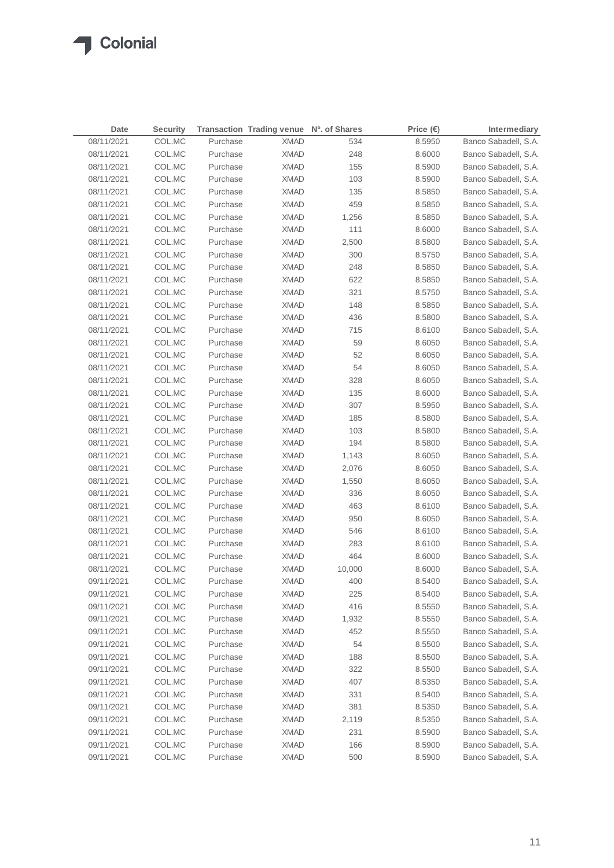### **T** Colonial

| Date       | <b>Security</b> |          | Transaction Trading venue Nº. of Shares |        | Price $(\epsilon)$ | Intermediary         |
|------------|-----------------|----------|-----------------------------------------|--------|--------------------|----------------------|
| 08/11/2021 | COL.MC          | Purchase | <b>XMAD</b>                             | 534    | 8.5950             | Banco Sabadell, S.A. |
| 08/11/2021 | COL.MC          | Purchase | <b>XMAD</b>                             | 248    | 8.6000             | Banco Sabadell, S.A. |
| 08/11/2021 | COL.MC          | Purchase | <b>XMAD</b>                             | 155    | 8.5900             | Banco Sabadell, S.A. |
| 08/11/2021 | COL.MC          | Purchase | <b>XMAD</b>                             | 103    | 8.5900             | Banco Sabadell, S.A. |
| 08/11/2021 | COL.MC          | Purchase | <b>XMAD</b>                             | 135    | 8.5850             | Banco Sabadell, S.A. |
| 08/11/2021 | COL.MC          | Purchase | <b>XMAD</b>                             | 459    | 8.5850             | Banco Sabadell, S.A. |
| 08/11/2021 | COL.MC          | Purchase | <b>XMAD</b>                             | 1,256  | 8.5850             | Banco Sabadell, S.A. |
| 08/11/2021 | COL.MC          | Purchase | <b>XMAD</b>                             | 111    | 8.6000             | Banco Sabadell, S.A. |
| 08/11/2021 | COL.MC          | Purchase | <b>XMAD</b>                             | 2,500  | 8.5800             | Banco Sabadell, S.A. |
| 08/11/2021 | COL.MC          | Purchase | <b>XMAD</b>                             | 300    | 8.5750             | Banco Sabadell, S.A. |
| 08/11/2021 | COL.MC          | Purchase | <b>XMAD</b>                             | 248    | 8.5850             | Banco Sabadell, S.A. |
| 08/11/2021 | COL.MC          | Purchase | <b>XMAD</b>                             | 622    | 8.5850             | Banco Sabadell, S.A. |
| 08/11/2021 | COL.MC          | Purchase | <b>XMAD</b>                             | 321    | 8.5750             | Banco Sabadell, S.A. |
| 08/11/2021 | COL.MC          | Purchase | <b>XMAD</b>                             | 148    | 8.5850             | Banco Sabadell, S.A. |
| 08/11/2021 | COL.MC          | Purchase | <b>XMAD</b>                             | 436    | 8.5800             | Banco Sabadell, S.A. |
| 08/11/2021 | COL.MC          | Purchase | <b>XMAD</b>                             | 715    | 8.6100             | Banco Sabadell, S.A. |
| 08/11/2021 | COL.MC          | Purchase | <b>XMAD</b>                             | 59     | 8.6050             | Banco Sabadell, S.A. |
| 08/11/2021 | COL.MC          | Purchase | <b>XMAD</b>                             | 52     | 8.6050             | Banco Sabadell, S.A. |
| 08/11/2021 | COL.MC          | Purchase | <b>XMAD</b>                             | 54     | 8.6050             | Banco Sabadell, S.A. |
| 08/11/2021 | COL.MC          | Purchase | <b>XMAD</b>                             | 328    | 8.6050             | Banco Sabadell, S.A. |
| 08/11/2021 | COL.MC          | Purchase | <b>XMAD</b>                             | 135    | 8.6000             | Banco Sabadell, S.A. |
| 08/11/2021 | COL.MC          | Purchase | <b>XMAD</b>                             | 307    | 8.5950             | Banco Sabadell, S.A. |
| 08/11/2021 | COL.MC          | Purchase | <b>XMAD</b>                             | 185    | 8.5800             | Banco Sabadell, S.A. |
| 08/11/2021 | COL.MC          | Purchase | <b>XMAD</b>                             | 103    | 8.5800             | Banco Sabadell, S.A. |
| 08/11/2021 | COL.MC          | Purchase | <b>XMAD</b>                             | 194    | 8.5800             | Banco Sabadell, S.A. |
| 08/11/2021 | COL.MC          | Purchase | XMAD                                    | 1,143  | 8.6050             | Banco Sabadell, S.A. |
| 08/11/2021 | COL.MC          | Purchase | <b>XMAD</b>                             | 2,076  | 8.6050             | Banco Sabadell, S.A. |
| 08/11/2021 | COL.MC          | Purchase | XMAD                                    | 1,550  | 8.6050             | Banco Sabadell, S.A. |
| 08/11/2021 | COL.MC          | Purchase | <b>XMAD</b>                             | 336    | 8.6050             | Banco Sabadell, S.A. |
| 08/11/2021 | COL.MC          | Purchase | XMAD                                    | 463    | 8.6100             | Banco Sabadell, S.A. |
| 08/11/2021 | COL.MC          | Purchase | XMAD                                    | 950    | 8.6050             | Banco Sabadell, S.A. |
| 08/11/2021 | COL.MC          | Purchase | XMAD                                    | 546    | 8.6100             | Banco Sabadell, S.A. |
| 08/11/2021 | COL.MC          | Purchase | <b>XMAD</b>                             | 283    | 8.6100             | Banco Sabadell, S.A. |
| 08/11/2021 | COL.MC          | Purchase | <b>XMAD</b>                             | 464    | 8.6000             | Banco Sabadell, S.A. |
| 08/11/2021 | COL.MC          | Purchase | <b>XMAD</b>                             | 10,000 | 8.6000             | Banco Sabadell, S.A. |
| 09/11/2021 | COL.MC          | Purchase | <b>XMAD</b>                             | 400    | 8.5400             | Banco Sabadell, S.A. |
| 09/11/2021 | COL.MC          | Purchase | <b>XMAD</b>                             | 225    | 8.5400             | Banco Sabadell, S.A. |
| 09/11/2021 | COL.MC          | Purchase | <b>XMAD</b>                             | 416    | 8.5550             | Banco Sabadell, S.A. |
| 09/11/2021 | COL.MC          | Purchase | <b>XMAD</b>                             | 1,932  | 8.5550             | Banco Sabadell, S.A. |
| 09/11/2021 | COL.MC          | Purchase | <b>XMAD</b>                             | 452    | 8.5550             | Banco Sabadell, S.A. |
| 09/11/2021 | COL.MC          | Purchase | <b>XMAD</b>                             | 54     | 8.5500             | Banco Sabadell, S.A. |
| 09/11/2021 | COL.MC          | Purchase | <b>XMAD</b>                             | 188    | 8.5500             | Banco Sabadell, S.A. |
| 09/11/2021 | COL.MC          | Purchase | <b>XMAD</b>                             | 322    | 8.5500             | Banco Sabadell, S.A. |
| 09/11/2021 | COL.MC          | Purchase | <b>XMAD</b>                             | 407    | 8.5350             | Banco Sabadell, S.A. |
| 09/11/2021 | COL.MC          | Purchase | <b>XMAD</b>                             | 331    | 8.5400             | Banco Sabadell, S.A. |
| 09/11/2021 | COL.MC          | Purchase | <b>XMAD</b>                             | 381    | 8.5350             | Banco Sabadell, S.A. |
| 09/11/2021 | COL.MC          | Purchase | <b>XMAD</b>                             | 2,119  | 8.5350             | Banco Sabadell, S.A. |
| 09/11/2021 | COL.MC          | Purchase | <b>XMAD</b>                             | 231    | 8.5900             | Banco Sabadell, S.A. |
| 09/11/2021 | COL.MC          | Purchase | <b>XMAD</b>                             | 166    | 8.5900             | Banco Sabadell, S.A. |
| 09/11/2021 | COL.MC          | Purchase | <b>XMAD</b>                             | 500    | 8.5900             | Banco Sabadell, S.A. |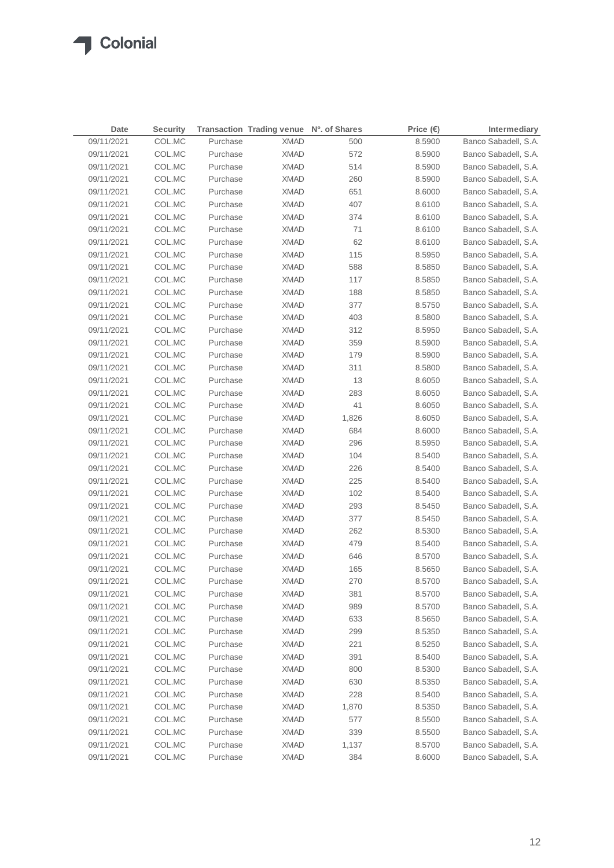| Date       | <b>Security</b> |          | Transaction Trading venue Nº. of Shares |       | Price $(\epsilon)$ | Intermediary         |
|------------|-----------------|----------|-----------------------------------------|-------|--------------------|----------------------|
| 09/11/2021 | COL.MC          | Purchase | <b>XMAD</b>                             | 500   | 8.5900             | Banco Sabadell, S.A. |
| 09/11/2021 | COL.MC          | Purchase | <b>XMAD</b>                             | 572   | 8.5900             | Banco Sabadell, S.A. |
| 09/11/2021 | COL.MC          | Purchase | <b>XMAD</b>                             | 514   | 8.5900             | Banco Sabadell, S.A. |
| 09/11/2021 | COL.MC          | Purchase | <b>XMAD</b>                             | 260   | 8.5900             | Banco Sabadell, S.A. |
| 09/11/2021 | COL.MC          | Purchase | <b>XMAD</b>                             | 651   | 8.6000             | Banco Sabadell, S.A. |
| 09/11/2021 | COL.MC          | Purchase | <b>XMAD</b>                             | 407   | 8.6100             | Banco Sabadell, S.A. |
| 09/11/2021 | COL.MC          | Purchase | <b>XMAD</b>                             | 374   | 8.6100             | Banco Sabadell, S.A. |
| 09/11/2021 | COL.MC          | Purchase | <b>XMAD</b>                             | 71    | 8.6100             | Banco Sabadell, S.A. |
| 09/11/2021 | COL.MC          | Purchase | <b>XMAD</b>                             | 62    | 8.6100             | Banco Sabadell, S.A. |
| 09/11/2021 | COL.MC          | Purchase | <b>XMAD</b>                             | 115   | 8.5950             | Banco Sabadell, S.A. |
| 09/11/2021 | COL.MC          | Purchase | <b>XMAD</b>                             | 588   | 8.5850             | Banco Sabadell, S.A. |
| 09/11/2021 | COL.MC          | Purchase | <b>XMAD</b>                             | 117   | 8.5850             | Banco Sabadell, S.A. |
| 09/11/2021 | COL.MC          | Purchase | <b>XMAD</b>                             | 188   | 8.5850             | Banco Sabadell, S.A. |
| 09/11/2021 | COL.MC          | Purchase | <b>XMAD</b>                             | 377   | 8.5750             | Banco Sabadell, S.A. |
| 09/11/2021 | COL.MC          | Purchase | <b>XMAD</b>                             | 403   | 8.5800             | Banco Sabadell, S.A. |
| 09/11/2021 | COL.MC          | Purchase | <b>XMAD</b>                             | 312   | 8.5950             | Banco Sabadell, S.A. |
| 09/11/2021 | COL.MC          | Purchase | <b>XMAD</b>                             | 359   | 8.5900             | Banco Sabadell, S.A. |
| 09/11/2021 | COL.MC          | Purchase | <b>XMAD</b>                             | 179   | 8.5900             | Banco Sabadell, S.A. |
| 09/11/2021 | COL.MC          | Purchase | <b>XMAD</b>                             | 311   | 8.5800             | Banco Sabadell, S.A. |
| 09/11/2021 | COL.MC          | Purchase | <b>XMAD</b>                             | 13    | 8.6050             | Banco Sabadell, S.A. |
| 09/11/2021 | COL.MC          | Purchase | <b>XMAD</b>                             | 283   | 8.6050             | Banco Sabadell, S.A. |
| 09/11/2021 | COL.MC          | Purchase | <b>XMAD</b>                             | 41    | 8.6050             | Banco Sabadell, S.A. |
| 09/11/2021 | COL.MC          | Purchase | <b>XMAD</b>                             | 1,826 | 8.6050             | Banco Sabadell, S.A. |
| 09/11/2021 | COL.MC          | Purchase | <b>XMAD</b>                             | 684   | 8.6000             | Banco Sabadell, S.A. |
| 09/11/2021 | COL.MC          | Purchase | XMAD                                    | 296   | 8.5950             | Banco Sabadell, S.A. |
| 09/11/2021 | COL.MC          | Purchase | <b>XMAD</b>                             | 104   | 8.5400             | Banco Sabadell, S.A. |
| 09/11/2021 | COL.MC          | Purchase | XMAD                                    | 226   | 8.5400             | Banco Sabadell, S.A. |
| 09/11/2021 | COL.MC          | Purchase | XMAD                                    | 225   | 8.5400             | Banco Sabadell, S.A. |
| 09/11/2021 | COL.MC          | Purchase | XMAD                                    | 102   | 8.5400             | Banco Sabadell, S.A. |
| 09/11/2021 | COL.MC          | Purchase | XMAD                                    | 293   | 8.5450             | Banco Sabadell, S.A. |
| 09/11/2021 | COL.MC          | Purchase | XMAD                                    | 377   | 8.5450             | Banco Sabadell, S.A. |
| 09/11/2021 | COL.MC          | Purchase | XMAD                                    | 262   | 8.5300             | Banco Sabadell, S.A. |
| 09/11/2021 | COL.MC          | Purchase | XMAD                                    | 479   | 8.5400             | Banco Sabadell, S.A. |
| 09/11/2021 | COL.MC          | Purchase | <b>XMAD</b>                             | 646   | 8.5700             | Banco Sabadell, S.A. |
| 09/11/2021 | COL.MC          | Purchase | <b>XMAD</b>                             | 165   | 8.5650             | Banco Sabadell, S.A. |
| 09/11/2021 | COL.MC          | Purchase | <b>XMAD</b>                             | 270   | 8.5700             | Banco Sabadell, S.A. |
| 09/11/2021 | COL.MC          | Purchase | <b>XMAD</b>                             | 381   | 8.5700             | Banco Sabadell, S.A. |
| 09/11/2021 | COL.MC          | Purchase | <b>XMAD</b>                             | 989   | 8.5700             | Banco Sabadell, S.A. |
| 09/11/2021 | COL.MC          | Purchase | <b>XMAD</b>                             | 633   | 8.5650             | Banco Sabadell, S.A. |
| 09/11/2021 | COL.MC          | Purchase | <b>XMAD</b>                             | 299   | 8.5350             | Banco Sabadell, S.A. |
| 09/11/2021 | COL.MC          | Purchase | <b>XMAD</b>                             | 221   | 8.5250             | Banco Sabadell, S.A. |
| 09/11/2021 | COL.MC          | Purchase | <b>XMAD</b>                             | 391   | 8.5400             | Banco Sabadell, S.A. |
| 09/11/2021 | COL.MC          | Purchase | <b>XMAD</b>                             | 800   | 8.5300             | Banco Sabadell, S.A. |
| 09/11/2021 | COL.MC          | Purchase | <b>XMAD</b>                             | 630   | 8.5350             | Banco Sabadell, S.A. |
| 09/11/2021 | COL.MC          | Purchase | <b>XMAD</b>                             | 228   | 8.5400             | Banco Sabadell, S.A. |
| 09/11/2021 | COL.MC          | Purchase | <b>XMAD</b>                             | 1,870 | 8.5350             | Banco Sabadell, S.A. |
| 09/11/2021 | COL.MC          | Purchase | <b>XMAD</b>                             | 577   | 8.5500             | Banco Sabadell, S.A. |
| 09/11/2021 | COL.MC          | Purchase | <b>XMAD</b>                             | 339   | 8.5500             | Banco Sabadell, S.A. |
| 09/11/2021 | COL.MC          | Purchase | <b>XMAD</b>                             | 1,137 | 8.5700             | Banco Sabadell, S.A. |
| 09/11/2021 | COL.MC          | Purchase | <b>XMAD</b>                             | 384   | 8.6000             | Banco Sabadell, S.A. |